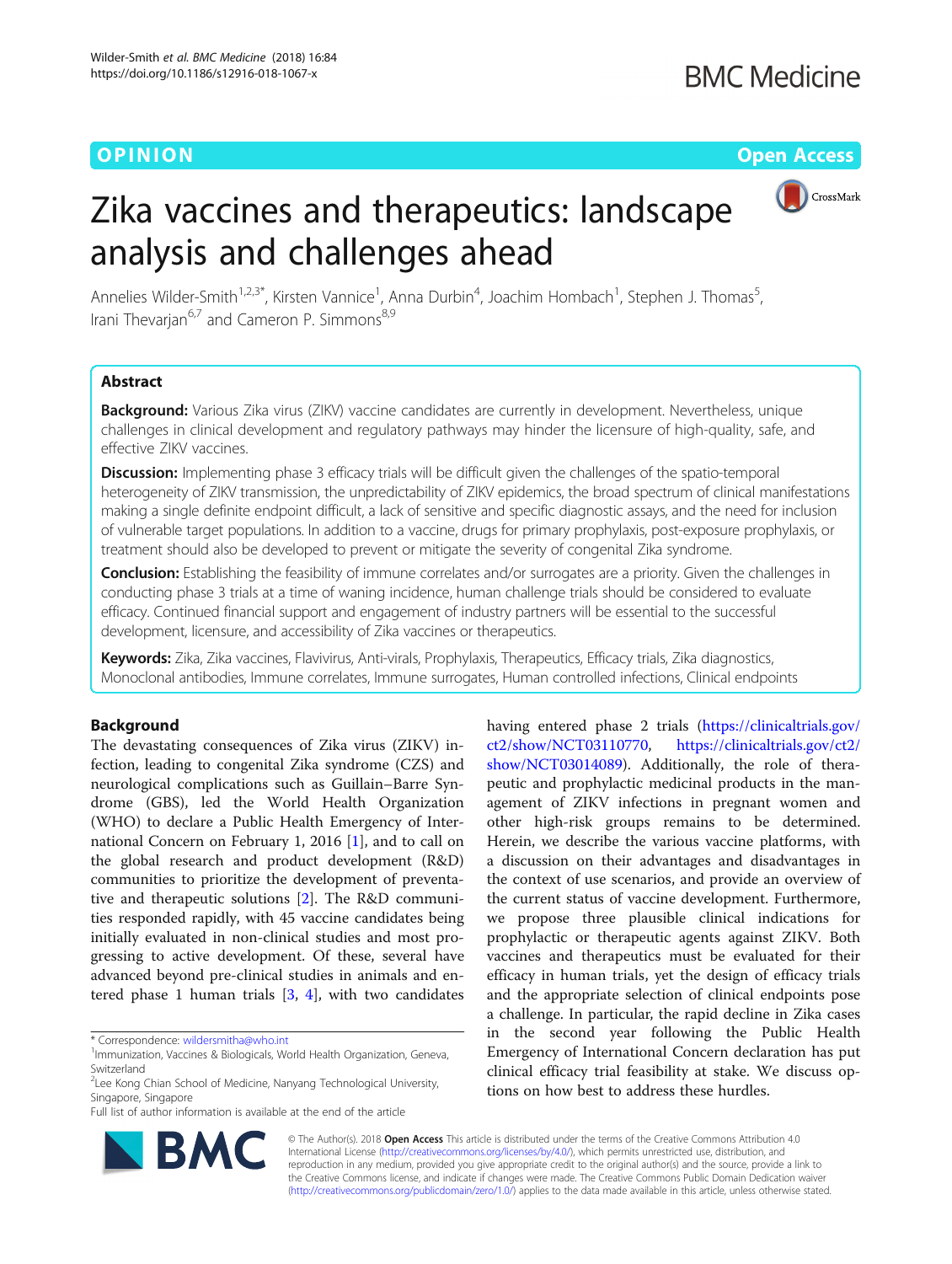O PINION Open Access

## CrossMark

# Zika vaccines and therapeutics: landscape analysis and challenges ahead

Annelies Wilder-Smith<sup>1,2,3\*</sup>, Kirsten Vannice<sup>1</sup>, Anna Durbin<sup>4</sup>, Joachim Hombach<sup>1</sup>, Stephen J. Thomas<sup>5</sup> , Irani Thevarjan<sup>6,7</sup> and Cameron P. Simmons<sup>8,9</sup>

## Abstract

Background: Various Zika virus (ZIKV) vaccine candidates are currently in development. Nevertheless, unique challenges in clinical development and regulatory pathways may hinder the licensure of high-quality, safe, and effective ZIKV vaccines.

**Discussion:** Implementing phase 3 efficacy trials will be difficult given the challenges of the spatio-temporal heterogeneity of ZIKV transmission, the unpredictability of ZIKV epidemics, the broad spectrum of clinical manifestations making a single definite endpoint difficult, a lack of sensitive and specific diagnostic assays, and the need for inclusion of vulnerable target populations. In addition to a vaccine, drugs for primary prophylaxis, post-exposure prophylaxis, or treatment should also be developed to prevent or mitigate the severity of congenital Zika syndrome.

Conclusion: Establishing the feasibility of immune correlates and/or surrogates are a priority. Given the challenges in conducting phase 3 trials at a time of waning incidence, human challenge trials should be considered to evaluate efficacy. Continued financial support and engagement of industry partners will be essential to the successful development, licensure, and accessibility of Zika vaccines or therapeutics.

Keywords: Zika, Zika vaccines, Flavivirus, Anti-virals, Prophylaxis, Therapeutics, Efficacy trials, Zika diagnostics, Monoclonal antibodies, Immune correlates, Immune surrogates, Human controlled infections, Clinical endpoints

## Background

The devastating consequences of Zika virus (ZIKV) infection, leading to congenital Zika syndrome (CZS) and neurological complications such as Guillain–Barre Syndrome (GBS), led the World Health Organization (WHO) to declare a Public Health Emergency of International Concern on February 1, 2016 [\[1\]](#page-12-0), and to call on the global research and product development (R&D) communities to prioritize the development of preventative and therapeutic solutions [[2\]](#page-12-0). The R&D communities responded rapidly, with 45 vaccine candidates being initially evaluated in non-clinical studies and most progressing to active development. Of these, several have advanced beyond pre-clinical studies in animals and entered phase 1 human trials  $[3, 4]$  $[3, 4]$  $[3, 4]$  $[3, 4]$  $[3, 4]$ , with two candidates

\* Correspondence: [wildersmitha@who.int](mailto:wildersmitha@who.int) <sup>1</sup>

Full list of author information is available at the end of the article

having entered phase 2 trials [\(https://clinicaltrials.gov/](https://clinicaltrials.gov/ct2/show/NCT03110770) [ct2/show/NCT03110770,](https://clinicaltrials.gov/ct2/show/NCT03110770) [https://clinicaltrials.gov/ct2/](https://clinicaltrials.gov/ct2/show/NCT03014089) [show/NCT03014089\)](https://clinicaltrials.gov/ct2/show/NCT03014089). Additionally, the role of therapeutic and prophylactic medicinal products in the management of ZIKV infections in pregnant women and other high-risk groups remains to be determined. Herein, we describe the various vaccine platforms, with a discussion on their advantages and disadvantages in the context of use scenarios, and provide an overview of the current status of vaccine development. Furthermore, we propose three plausible clinical indications for prophylactic or therapeutic agents against ZIKV. Both vaccines and therapeutics must be evaluated for their efficacy in human trials, yet the design of efficacy trials and the appropriate selection of clinical endpoints pose a challenge. In particular, the rapid decline in Zika cases in the second year following the Public Health Emergency of International Concern declaration has put clinical efficacy trial feasibility at stake. We discuss options on how best to address these hurdles.



© The Author(s). 2018 **Open Access** This article is distributed under the terms of the Creative Commons Attribution 4.0 International License [\(http://creativecommons.org/licenses/by/4.0/](http://creativecommons.org/licenses/by/4.0/)), which permits unrestricted use, distribution, and reproduction in any medium, provided you give appropriate credit to the original author(s) and the source, provide a link to the Creative Commons license, and indicate if changes were made. The Creative Commons Public Domain Dedication waiver [\(http://creativecommons.org/publicdomain/zero/1.0/](http://creativecommons.org/publicdomain/zero/1.0/)) applies to the data made available in this article, unless otherwise stated.

<sup>&</sup>lt;sup>1</sup>Immunization, Vaccines & Biologicals, World Health Organization, Geneva, Switzerland

<sup>&</sup>lt;sup>2</sup>Lee Kong Chian School of Medicine, Nanyang Technological University, Singapore, Singapore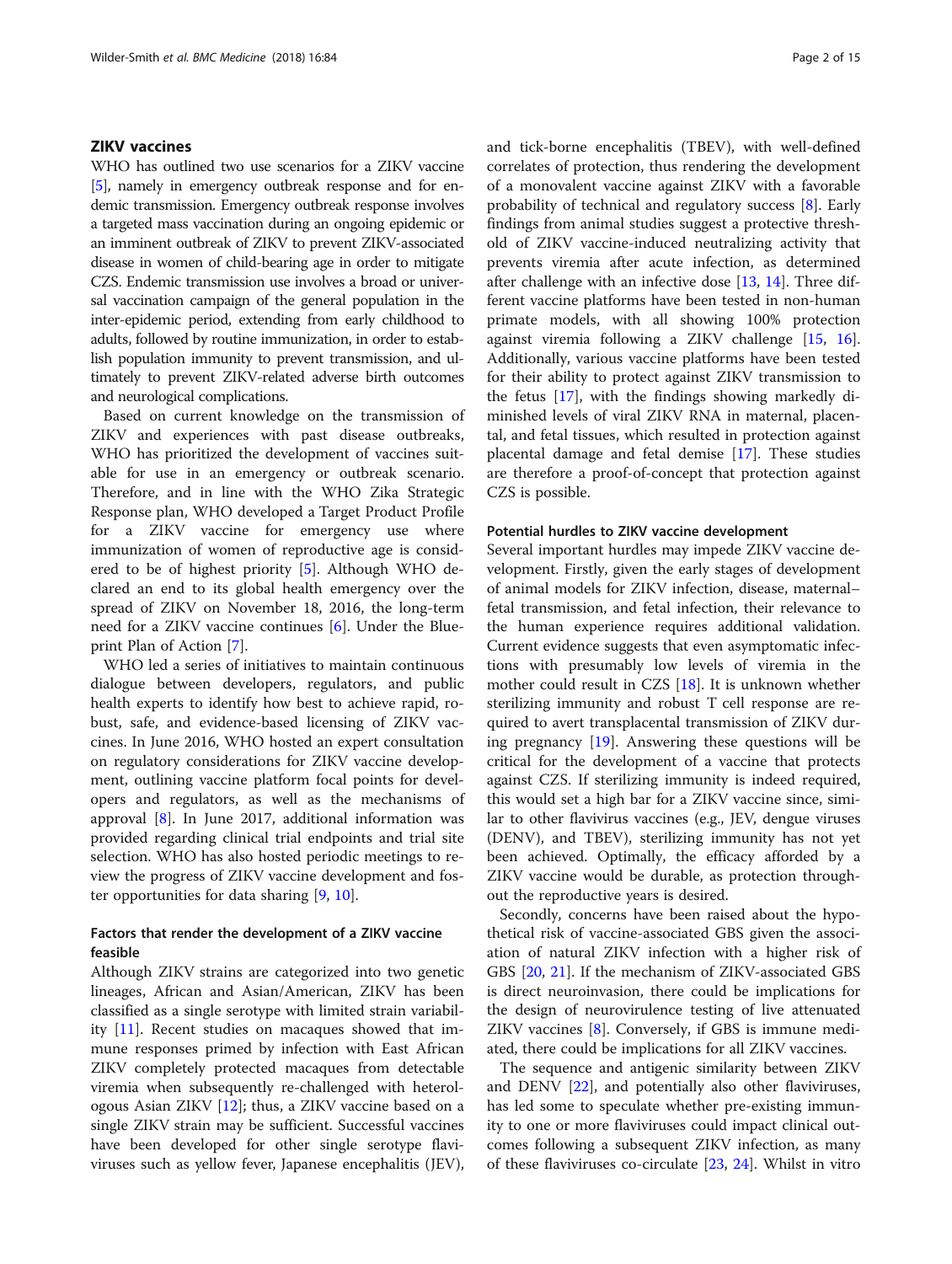### ZIKV vaccines

WHO has outlined two use scenarios for a ZIKV vaccine [[5](#page-12-0)], namely in emergency outbreak response and for endemic transmission. Emergency outbreak response involves a targeted mass vaccination during an ongoing epidemic or an imminent outbreak of ZIKV to prevent ZIKV-associated disease in women of child-bearing age in order to mitigate CZS. Endemic transmission use involves a broad or universal vaccination campaign of the general population in the inter-epidemic period, extending from early childhood to adults, followed by routine immunization, in order to establish population immunity to prevent transmission, and ultimately to prevent ZIKV-related adverse birth outcomes and neurological complications.

Based on current knowledge on the transmission of ZIKV and experiences with past disease outbreaks, WHO has prioritized the development of vaccines suitable for use in an emergency or outbreak scenario. Therefore, and in line with the WHO Zika Strategic Response plan, WHO developed a Target Product Profile for a ZIKV vaccine for emergency use where immunization of women of reproductive age is considered to be of highest priority [\[5\]](#page-12-0). Although WHO declared an end to its global health emergency over the spread of ZIKV on November 18, 2016, the long-term need for a ZIKV vaccine continues [\[6\]](#page-12-0). Under the Blueprint Plan of Action [\[7\]](#page-12-0).

WHO led a series of initiatives to maintain continuous dialogue between developers, regulators, and public health experts to identify how best to achieve rapid, robust, safe, and evidence-based licensing of ZIKV vaccines. In June 2016, WHO hosted an expert consultation on regulatory considerations for ZIKV vaccine development, outlining vaccine platform focal points for developers and regulators, as well as the mechanisms of approval [[8](#page-12-0)]. In June 2017, additional information was provided regarding clinical trial endpoints and trial site selection. WHO has also hosted periodic meetings to review the progress of ZIKV vaccine development and foster opportunities for data sharing [\[9](#page-12-0), [10](#page-12-0)].

## Factors that render the development of a ZIKV vaccine feasible

Although ZIKV strains are categorized into two genetic lineages, African and Asian/American, ZIKV has been classified as a single serotype with limited strain variability [[11](#page-12-0)]. Recent studies on macaques showed that immune responses primed by infection with East African ZIKV completely protected macaques from detectable viremia when subsequently re-challenged with heterologous Asian ZIKV [\[12\]](#page-12-0); thus, a ZIKV vaccine based on a single ZIKV strain may be sufficient. Successful vaccines have been developed for other single serotype flaviviruses such as yellow fever, Japanese encephalitis (JEV), and tick-borne encephalitis (TBEV), with well-defined correlates of protection, thus rendering the development of a monovalent vaccine against ZIKV with a favorable probability of technical and regulatory success [\[8](#page-12-0)]. Early findings from animal studies suggest a protective threshold of ZIKV vaccine-induced neutralizing activity that prevents viremia after acute infection, as determined after challenge with an infective dose [[13,](#page-12-0) [14\]](#page-13-0). Three different vaccine platforms have been tested in non-human primate models, with all showing 100% protection against viremia following a ZIKV challenge [\[15](#page-13-0), [16](#page-13-0)]. Additionally, various vaccine platforms have been tested for their ability to protect against ZIKV transmission to the fetus [[17](#page-13-0)], with the findings showing markedly diminished levels of viral ZIKV RNA in maternal, placental, and fetal tissues, which resulted in protection against placental damage and fetal demise [\[17\]](#page-13-0). These studies are therefore a proof-of-concept that protection against CZS is possible.

#### Potential hurdles to ZIKV vaccine development

Several important hurdles may impede ZIKV vaccine development. Firstly, given the early stages of development of animal models for ZIKV infection, disease, maternal– fetal transmission, and fetal infection, their relevance to the human experience requires additional validation. Current evidence suggests that even asymptomatic infections with presumably low levels of viremia in the mother could result in CZS [[18\]](#page-13-0). It is unknown whether sterilizing immunity and robust T cell response are required to avert transplacental transmission of ZIKV during pregnancy [\[19\]](#page-13-0). Answering these questions will be critical for the development of a vaccine that protects against CZS. If sterilizing immunity is indeed required, this would set a high bar for a ZIKV vaccine since, similar to other flavivirus vaccines (e.g., JEV, dengue viruses (DENV), and TBEV), sterilizing immunity has not yet been achieved. Optimally, the efficacy afforded by a ZIKV vaccine would be durable, as protection throughout the reproductive years is desired.

Secondly, concerns have been raised about the hypothetical risk of vaccine-associated GBS given the association of natural ZIKV infection with a higher risk of GBS [\[20](#page-13-0), [21](#page-13-0)]. If the mechanism of ZIKV-associated GBS is direct neuroinvasion, there could be implications for the design of neurovirulence testing of live attenuated ZIKV vaccines [\[8](#page-12-0)]. Conversely, if GBS is immune mediated, there could be implications for all ZIKV vaccines.

The sequence and antigenic similarity between ZIKV and DENV [[22\]](#page-13-0), and potentially also other flaviviruses, has led some to speculate whether pre-existing immunity to one or more flaviviruses could impact clinical outcomes following a subsequent ZIKV infection, as many of these flaviviruses co-circulate [\[23](#page-13-0), [24\]](#page-13-0). Whilst in vitro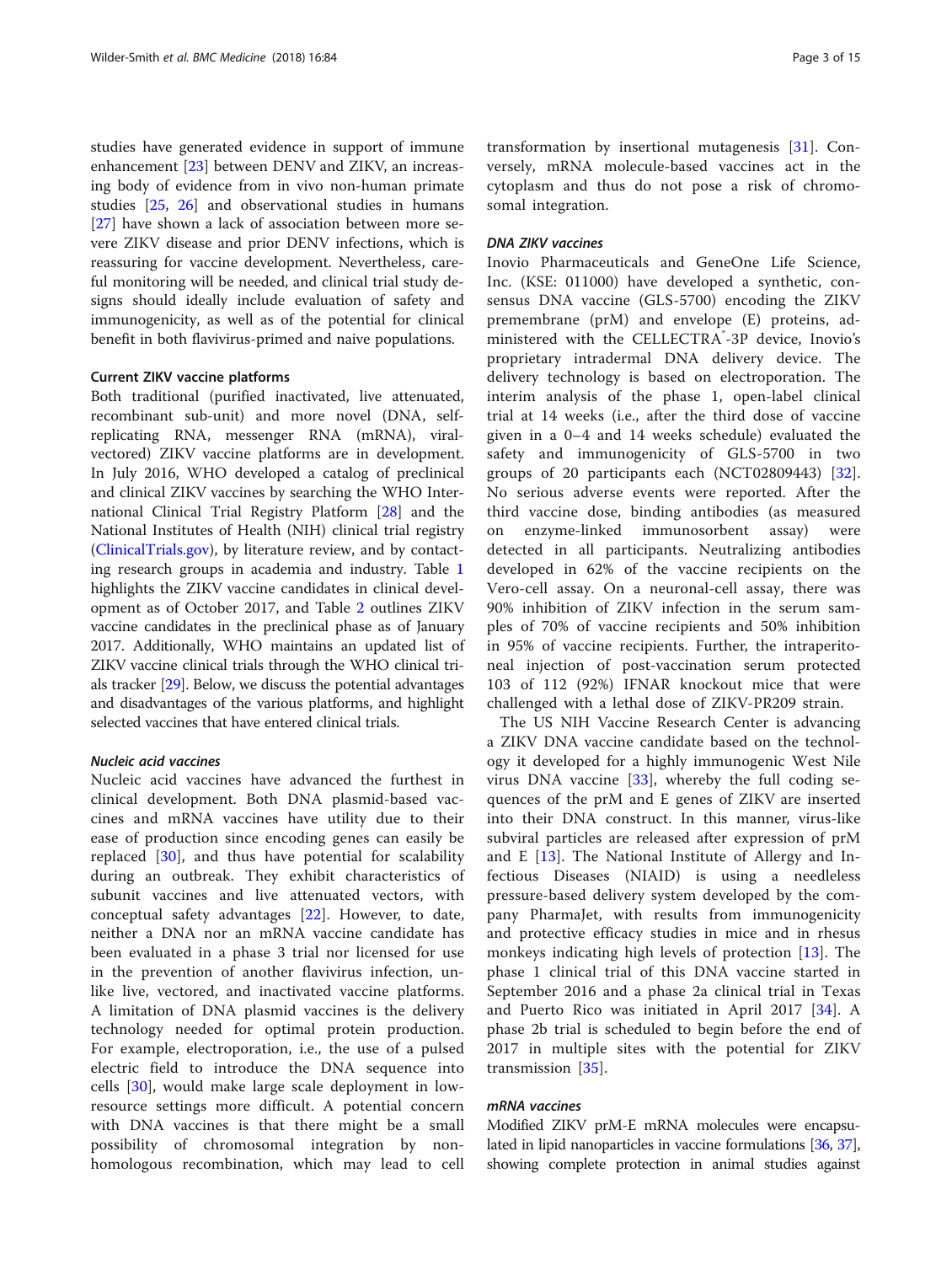studies have generated evidence in support of immune enhancement [[23\]](#page-13-0) between DENV and ZIKV, an increasing body of evidence from in vivo non-human primate studies [[25,](#page-13-0) [26](#page-13-0)] and observational studies in humans [[27\]](#page-13-0) have shown a lack of association between more severe ZIKV disease and prior DENV infections, which is reassuring for vaccine development. Nevertheless, careful monitoring will be needed, and clinical trial study designs should ideally include evaluation of safety and immunogenicity, as well as of the potential for clinical benefit in both flavivirus-primed and naive populations.

#### Current ZIKV vaccine platforms

Both traditional (purified inactivated, live attenuated, recombinant sub-unit) and more novel (DNA, selfreplicating RNA, messenger RNA (mRNA), viralvectored) ZIKV vaccine platforms are in development. In July 2016, WHO developed a catalog of preclinical and clinical ZIKV vaccines by searching the WHO International Clinical Trial Registry Platform [[28\]](#page-13-0) and the National Institutes of Health (NIH) clinical trial registry ([ClinicalTrials.gov\)](http://clinicaltrials.gov), by literature review, and by contacting research groups in academia and industry. Table [1](#page-3-0) highlights the ZIKV vaccine candidates in clinical development as of October 2017, and Table [2](#page-4-0) outlines ZIKV vaccine candidates in the preclinical phase as of January 2017. Additionally, WHO maintains an updated list of ZIKV vaccine clinical trials through the WHO clinical trials tracker [\[29\]](#page-13-0). Below, we discuss the potential advantages and disadvantages of the various platforms, and highlight selected vaccines that have entered clinical trials.

## Nucleic acid vaccines

Nucleic acid vaccines have advanced the furthest in clinical development. Both DNA plasmid-based vaccines and mRNA vaccines have utility due to their ease of production since encoding genes can easily be replaced [\[30](#page-13-0)], and thus have potential for scalability during an outbreak. They exhibit characteristics of subunit vaccines and live attenuated vectors, with conceptual safety advantages [[22](#page-13-0)]. However, to date, neither a DNA nor an mRNA vaccine candidate has been evaluated in a phase 3 trial nor licensed for use in the prevention of another flavivirus infection, unlike live, vectored, and inactivated vaccine platforms. A limitation of DNA plasmid vaccines is the delivery technology needed for optimal protein production. For example, electroporation, i.e., the use of a pulsed electric field to introduce the DNA sequence into cells [\[30](#page-13-0)], would make large scale deployment in lowresource settings more difficult. A potential concern with DNA vaccines is that there might be a small possibility of chromosomal integration by nonhomologous recombination, which may lead to cell

transformation by insertional mutagenesis [[31\]](#page-13-0). Conversely, mRNA molecule-based vaccines act in the cytoplasm and thus do not pose a risk of chromosomal integration.

#### DNA ZIKV vaccines

Inovio Pharmaceuticals and GeneOne Life Science, Inc. (KSE: 011000) have developed a synthetic, consensus DNA vaccine (GLS-5700) encoding the ZIKV premembrane (prM) and envelope (E) proteins, administered with the CELLECTRA<sup>°</sup>-3P device, Inovio's proprietary intradermal DNA delivery device. The delivery technology is based on electroporation. The interim analysis of the phase 1, open-label clinical trial at 14 weeks (i.e., after the third dose of vaccine given in a 0–4 and 14 weeks schedule) evaluated the safety and immunogenicity of GLS-5700 in two groups of 20 participants each (NCT02809443) [\[32](#page-13-0)]. No serious adverse events were reported. After the third vaccine dose, binding antibodies (as measured on enzyme-linked immunosorbent assay) were detected in all participants. Neutralizing antibodies developed in 62% of the vaccine recipients on the Vero-cell assay. On a neuronal-cell assay, there was 90% inhibition of ZIKV infection in the serum samples of 70% of vaccine recipients and 50% inhibition in 95% of vaccine recipients. Further, the intraperitoneal injection of post-vaccination serum protected 103 of 112 (92%) IFNAR knockout mice that were challenged with a lethal dose of ZIKV-PR209 strain.

The US NIH Vaccine Research Center is advancing a ZIKV DNA vaccine candidate based on the technology it developed for a highly immunogenic West Nile virus DNA vaccine [[33\]](#page-13-0), whereby the full coding sequences of the prM and E genes of ZIKV are inserted into their DNA construct. In this manner, virus-like subviral particles are released after expression of prM and E [[13](#page-12-0)]. The National Institute of Allergy and Infectious Diseases (NIAID) is using a needleless pressure-based delivery system developed by the company PharmaJet, with results from immunogenicity and protective efficacy studies in mice and in rhesus monkeys indicating high levels of protection [[13\]](#page-12-0). The phase 1 clinical trial of this DNA vaccine started in September 2016 and a phase 2a clinical trial in Texas and Puerto Rico was initiated in April 2017 [[34\]](#page-13-0). A phase 2b trial is scheduled to begin before the end of 2017 in multiple sites with the potential for ZIKV transmission [[35\]](#page-13-0).

## mRNA vaccines

Modified ZIKV prM-E mRNA molecules were encapsulated in lipid nanoparticles in vaccine formulations [[36](#page-13-0), [37](#page-13-0)], showing complete protection in animal studies against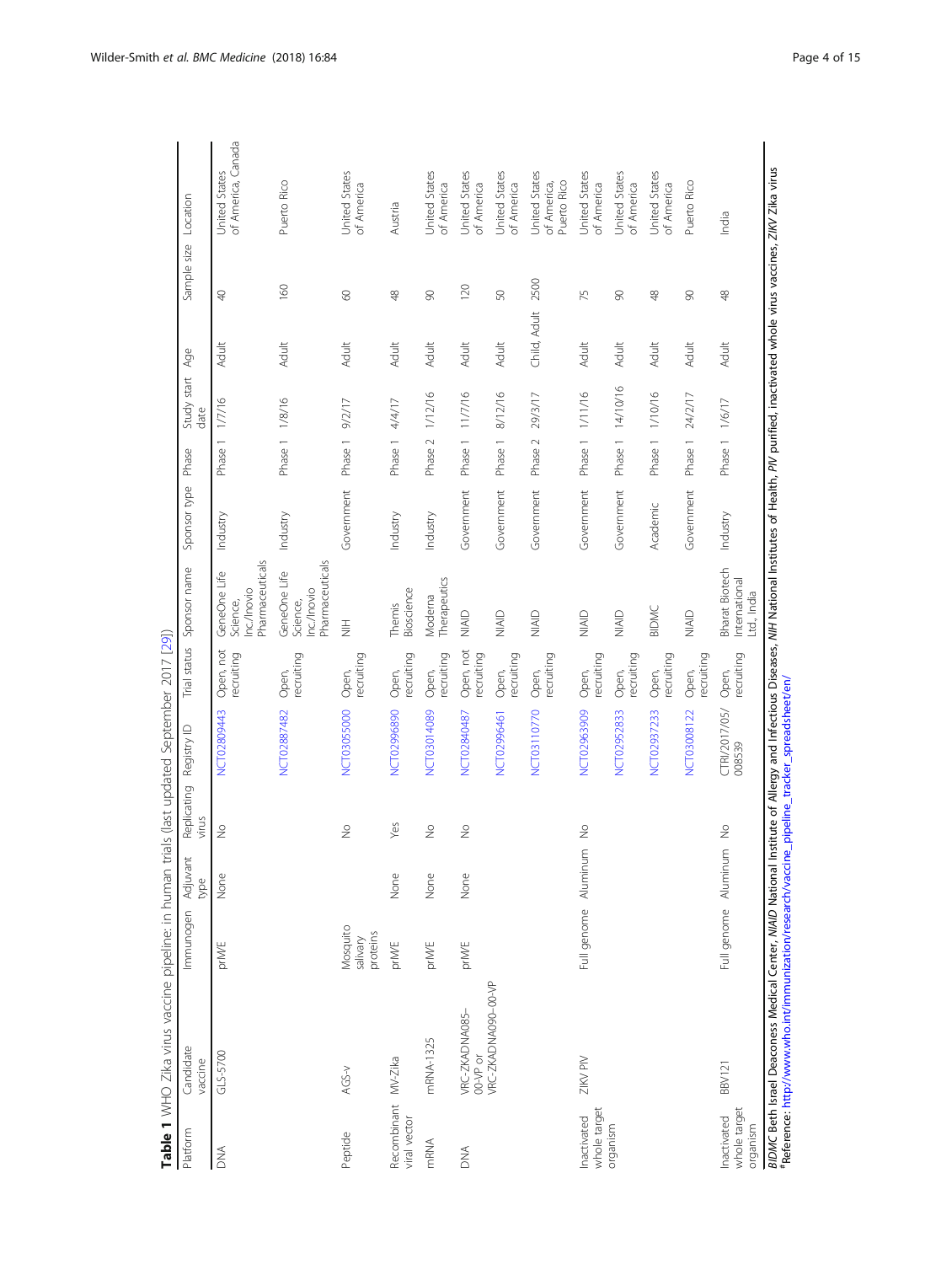<span id="page-3-0"></span>

|                                         | <b>Lable I</b> I who subseques the Virginian Indian Indian Indian Indian Indian Indian Indian Indian Indian Indian Indian Indian Indian Indian Indian Indian Indian Indian Indian Indian Indian Indian Indian Indian Indian Indian                                                                         |                                  |                  |                      |                         |                         |                                                            |              |         |                     |              |               |                                             |
|-----------------------------------------|------------------------------------------------------------------------------------------------------------------------------------------------------------------------------------------------------------------------------------------------------------------------------------------------------------|----------------------------------|------------------|----------------------|-------------------------|-------------------------|------------------------------------------------------------|--------------|---------|---------------------|--------------|---------------|---------------------------------------------|
| Platform                                | Candidate<br>vaccine                                                                                                                                                                                                                                                                                       | Immunogen                        | Adjuvant<br>type | Replicating<br>virus | Registry ID             |                         | Trial status Sponsor name                                  | Sponsor type | Phase   | Study start<br>date | Age          | Sample size   | Location                                    |
| MQ                                      | $GLS-5700$                                                                                                                                                                                                                                                                                                 | prM/E                            | None             | $\frac{1}{2}$        | NCT02809443             | Open, not<br>recruiting | Pharmaceuticals<br>GeneOne Life<br>Inc./Inovio<br>Science, | Industry     | Phase 1 | 1/7/16              | <b>Adult</b> | $\Theta$      | of America, Canada<br>United States         |
|                                         |                                                                                                                                                                                                                                                                                                            |                                  |                  |                      | NCT02887482             | recruiting<br>Open,     | Pharmaceuticals<br>GeneOne Life<br>Inc./Inovio<br>Science, | Industry     | Phase 1 | 1/8/16              | Adult        | 160           | Puerto Rico                                 |
| Peptide                                 | AGS-v                                                                                                                                                                                                                                                                                                      | Mosquito<br>proteins<br>salivary |                  | $\frac{1}{2}$        | NCT03055000             | recruiting<br>Open,     | $\frac{1}{2}$                                              | Government   | Phase 1 | 9/2/17              | Adult        | $\otimes$     | United States<br>of America                 |
| Recombinant MV-Zika<br>viral vector     |                                                                                                                                                                                                                                                                                                            | prM/E                            | None             | Yes                  | NCT02996890             | recruiting<br>Open,     | Bioscience<br>Themis                                       | Industry     | Phase 1 | 4/4/17              | Adult        | $\frac{8}{3}$ | Austria                                     |
| mRNA                                    | mRNA-1325                                                                                                                                                                                                                                                                                                  | prM/E                            | None             | $\frac{1}{2}$        | NCT03014089             | recruiting<br>Open,     | Therapeutics<br>Moderna                                    | Industry     | Phase 2 | 1/12/16             | Adult        | R             | United States<br>of America                 |
| $\frac{1}{2}$                           | /RC-ZKADNA085-<br>$00 - VP$ or                                                                                                                                                                                                                                                                             | prM/E                            | None             | $\frac{1}{2}$        | NCT02840487             | Open, not<br>recruiting | NIAID                                                      | Government   | Phase 1 | 11/7/16             | Adult        | 120           | United States<br>of America                 |
|                                         | /RC-ZKADNA090-00-VP                                                                                                                                                                                                                                                                                        |                                  |                  |                      | NCT02996461             | recruiting<br>Open,     | NIAID                                                      | Government   | Phase 1 | 8/12/16             | Adult        | S             | United States<br>of America                 |
|                                         |                                                                                                                                                                                                                                                                                                            |                                  |                  |                      | NCT03110770             | recruiting<br>Open,     | NIAID                                                      | Government   | Phase 2 | 29/3/17             | Child, Adult | 2500          | United States<br>Puerto Rico<br>of America, |
| whole target<br>Inactivated             | ZIKV PIV                                                                                                                                                                                                                                                                                                   | Full genome Aluminum             |                  | $\frac{1}{2}$        | NCT02963909             | recruiting<br>Open,     | NIAID                                                      | Government   | Phase 1 | 1/11/16             | Adult        | 75            | United States<br>of America                 |
| organism                                |                                                                                                                                                                                                                                                                                                            |                                  |                  |                      | NCT02952833             | recruiting<br>Open,     | NIAID                                                      | Government   | Phase 1 | 14/10/16            | Adult        | $\infty$      | United States<br>of America                 |
|                                         |                                                                                                                                                                                                                                                                                                            |                                  |                  |                      | NCT02937233             | recruiting<br>Open,     | BIDMC                                                      | Academic     | Phase 1 | 1/10/16             | Adult        | \$            | United States<br>of America                 |
|                                         |                                                                                                                                                                                                                                                                                                            |                                  |                  |                      | NCT03008122             | recruiting<br>Open,     | NIAID                                                      | Government   | Phase 1 | 24/2/17             | <b>Adult</b> | $\otimes$     | Puerto Rico                                 |
| whole target<br>Inactivated<br>organism | <b>BBV121</b>                                                                                                                                                                                                                                                                                              | Full genome Aluminum             |                  | $\frac{1}{2}$        | CTRI/2017/05/<br>008539 | recruiting<br>Open,     | <b>Bharat Biotech</b><br>International<br>Ltd., India      | Industry     | Phase 1 | 1/6/17              | <b>Adult</b> | $\frac{8}{3}$ | India                                       |
|                                         | BIDMC Beth Israel Deaconess Medical Center, WAID National Institute of Allergy and Infectious Diseases, WH National Institutes of Health, PIV purified, inactivated whole virus vaccines, ZIKV Zika virus<br>"Reference: http://www.who.int/immunization/research/vaccine_pipeline_tracker_spreadsheet/en/ |                                  |                  |                      |                         |                         |                                                            |              |         |                     |              |               |                                             |

nineline: in human trials (last undated Sentember 2017 [29]) Table 1 WHO Zika virus vaccine pipeline: in human trials (last updated September 2017 [\[29](#page-13-0)])  $\frac{1}{2}$ Table 1 WHO 71/2 vinte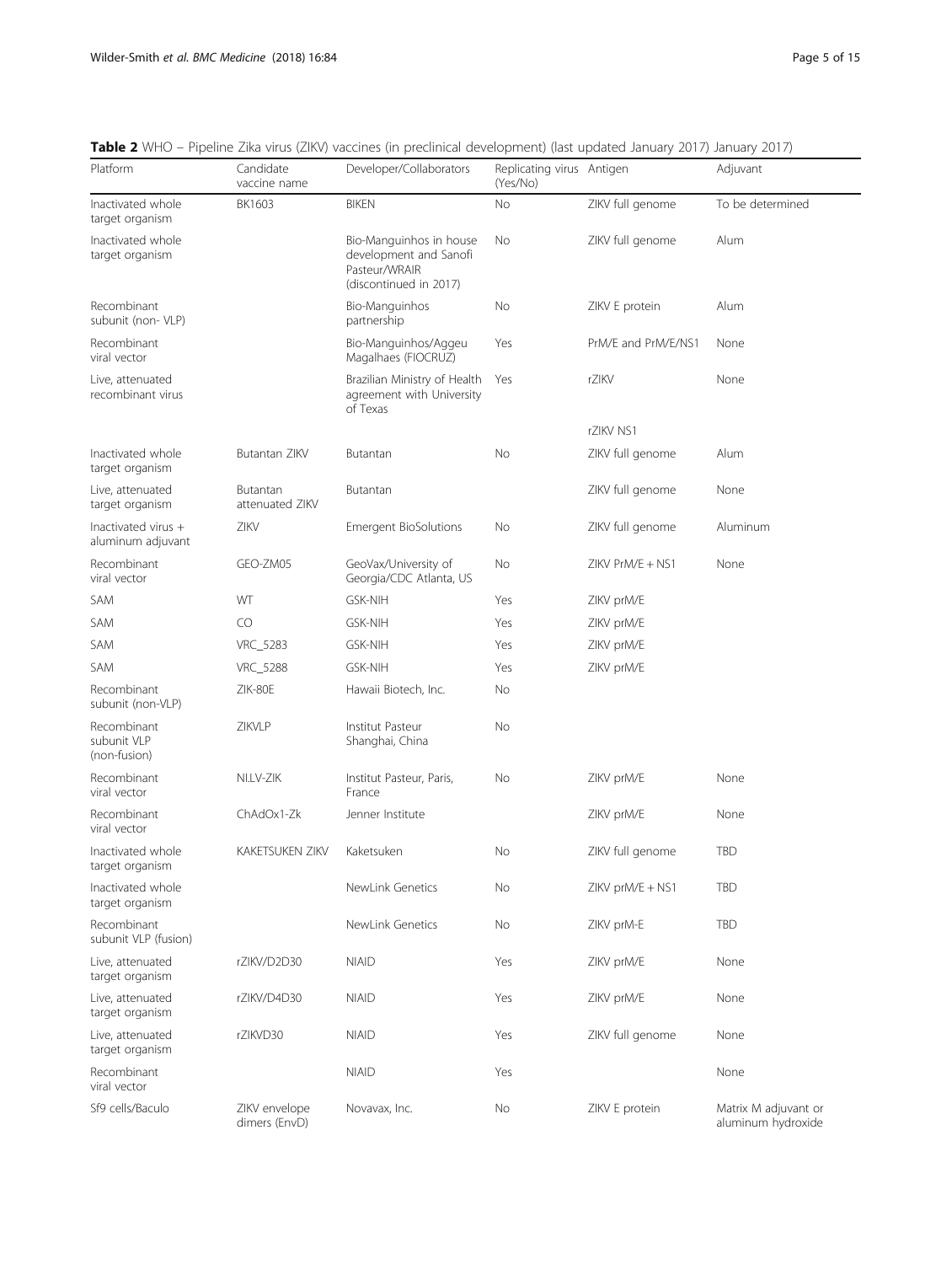<span id="page-4-0"></span>

|  |  |  |  | Table 2 WHO - Pipeline Zika virus (ZIKV) vaccines (in preclinical development) (last updated January 2017) January 2017) |  |
|--|--|--|--|--------------------------------------------------------------------------------------------------------------------------|--|
|  |  |  |  |                                                                                                                          |  |

| Platform                                   | Candidate<br>vaccine name      | Developer/Collaborators                                                                      | Replicating virus Antigen<br>(Yes/No) |                     | Adjuvant                                   |
|--------------------------------------------|--------------------------------|----------------------------------------------------------------------------------------------|---------------------------------------|---------------------|--------------------------------------------|
| Inactivated whole<br>target organism       | BK1603                         | <b>BIKEN</b>                                                                                 | No                                    | ZIKV full genome    | To be determined                           |
| Inactivated whole<br>target organism       |                                | Bio-Manguinhos in house<br>development and Sanofi<br>Pasteur/WRAIR<br>(discontinued in 2017) | No                                    | ZIKV full genome    | Alum                                       |
| Recombinant<br>subunit (non-VLP)           |                                | Bio-Manguinhos<br>partnership                                                                | No                                    | ZIKV E protein      | Alum                                       |
| Recombinant<br>viral vector                |                                | Bio-Manguinhos/Aggeu<br>Magalhaes (FIOCRUZ)                                                  | Yes                                   | PrM/E and PrM/E/NS1 | None                                       |
| Live, attenuated<br>recombinant virus      |                                | Brazilian Ministry of Health<br>agreement with University<br>of Texas                        | Yes                                   | rZIKV               | None                                       |
|                                            |                                |                                                                                              |                                       | rZIKV NS1           |                                            |
| Inactivated whole<br>target organism       | Butantan ZIKV                  | Butantan                                                                                     | No                                    | ZIKV full genome    | Alum                                       |
| Live, attenuated<br>target organism        | Butantan<br>attenuated ZIKV    | Butantan                                                                                     |                                       | ZIKV full genome    | None                                       |
| Inactivated virus +<br>aluminum adjuvant   | ZIKV                           | <b>Emergent BioSolutions</b>                                                                 | No                                    | ZIKV full genome    | Aluminum                                   |
| Recombinant<br>viral vector                | GEO-ZM05                       | GeoVax/University of<br>Georgia/CDC Atlanta, US                                              | No                                    | ZIKV PrM/E + NS1    | None                                       |
| SAM                                        | WТ                             | <b>GSK-NIH</b>                                                                               | Yes                                   | ZIKV prM/E          |                                            |
| SAM                                        | CO                             | GSK-NIH                                                                                      | Yes                                   | ZIKV prM/E          |                                            |
| SAM                                        | <b>VRC_5283</b>                | <b>GSK-NIH</b>                                                                               | Yes                                   | ZIKV prM/E          |                                            |
| SAM                                        | <b>VRC_5288</b>                | <b>GSK-NIH</b>                                                                               | Yes                                   | ZIKV prM/E          |                                            |
| Recombinant<br>subunit (non-VLP)           | ZIK-80E                        | Hawaii Biotech, Inc.                                                                         | No                                    |                     |                                            |
| Recombinant<br>subunit VLP<br>(non-fusion) | ZIKVLP                         | Institut Pasteur<br>Shanghai, China                                                          | No                                    |                     |                                            |
| Recombinant<br>viral vector                | NI.LV-ZIK                      | Institut Pasteur, Paris,<br>France                                                           | No                                    | ZIKV prM/E          | None                                       |
| Recombinant<br>viral vector                | ChAdOx1-Zk                     | Jenner Institute                                                                             |                                       | ZIKV prM/E          | None                                       |
| Inactivated whole<br>target organism       | <b>KAKETSUKEN ZIKV</b>         | Kaketsuken                                                                                   | No                                    | ZIKV full genome    | TBD                                        |
| Inactivated whole<br>target organism       |                                | NewLink Genetics                                                                             | No                                    | ZIKV prM/E + NS1    | <b>TBD</b>                                 |
| Recombinant<br>subunit VLP (fusion)        |                                | NewLink Genetics                                                                             | No                                    | ZIKV prM-E          | <b>TBD</b>                                 |
| Live, attenuated<br>target organism        | rZIKV/D2D30                    | <b>NIAID</b>                                                                                 | Yes                                   | ZIKV prM/E          | None                                       |
| Live, attenuated<br>target organism        | rZIKV/D4D30                    | <b>NIAID</b>                                                                                 | Yes                                   | ZIKV prM/E          | None                                       |
| Live, attenuated<br>target organism        | rZIKVD30                       | <b>NIAID</b>                                                                                 | Yes                                   | ZIKV full genome    | None                                       |
| Recombinant<br>viral vector                |                                | <b>NIAID</b>                                                                                 | Yes                                   |                     | None                                       |
| Sf9 cells/Baculo                           | ZIKV envelope<br>dimers (EnvD) | Novavax, Inc.                                                                                | No                                    | ZIKV E protein      | Matrix M adjuvant or<br>aluminum hydroxide |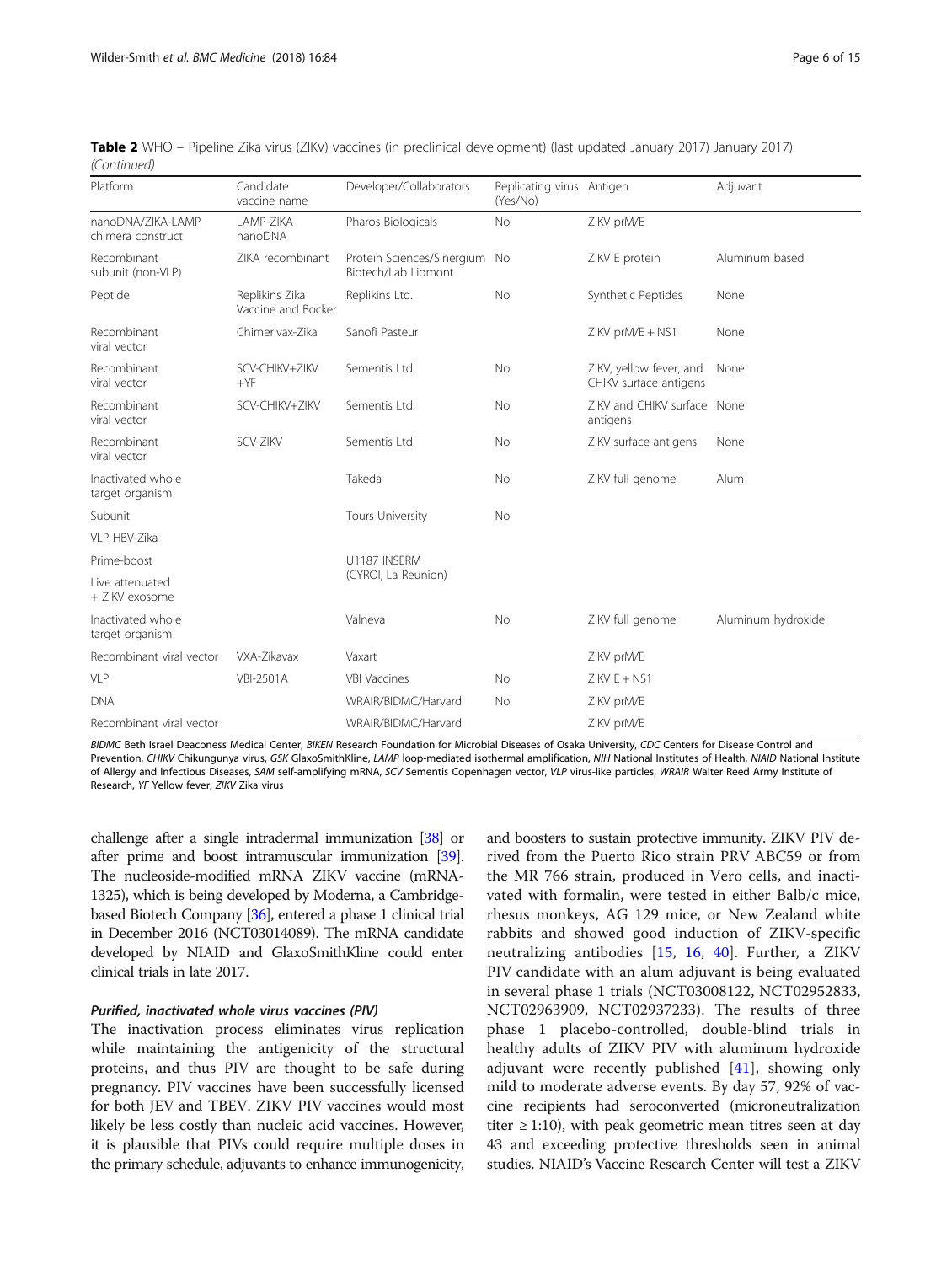| Platform                               | Candidate<br>vaccine name            | Developer/Collaborators                              | Replicating virus Antigen<br>(Yes/No) |                                                   | Adjuvant           |
|----------------------------------------|--------------------------------------|------------------------------------------------------|---------------------------------------|---------------------------------------------------|--------------------|
| nanoDNA/ZIKA-LAMP<br>chimera construct | LAMP-ZIKA<br>nanoDNA                 | Pharos Biologicals                                   | <b>No</b>                             | ZIKV prM/E                                        |                    |
| Recombinant<br>subunit (non-VLP)       | ZIKA recombinant                     | Protein Sciences/Sinergium No<br>Biotech/Lab Liomont |                                       | ZIKV E protein                                    | Aluminum based     |
| Peptide                                | Replikins Zika<br>Vaccine and Bocker | Replikins Ltd.                                       | <b>No</b>                             | Synthetic Peptides                                | None               |
| Recombinant<br>viral vector            | Chimerivax-Zika                      | Sanofi Pasteur                                       |                                       | ZIKV prM/E + NS1                                  | None               |
| Recombinant<br>viral vector            | SCV-CHIKV+ZIKV<br>$+YF$              | Sementis Ltd.                                        | <b>No</b>                             | ZIKV, yellow fever, and<br>CHIKV surface antigens | None               |
| Recombinant<br>viral vector            | SCV-CHIKV+ZIKV                       | Sementis Ltd.                                        | No                                    | ZIKV and CHIKV surface None<br>antigens           |                    |
| Recombinant<br>viral vector            | SCV-ZIKV                             | Sementis Ltd.                                        | <b>No</b>                             | ZIKV surface antigens                             | None               |
| Inactivated whole<br>target organism   |                                      | Takeda                                               | No                                    | ZIKV full genome                                  | Alum               |
| Subunit                                |                                      | Tours University                                     | <b>No</b>                             |                                                   |                    |
| VLP HBV-Zika                           |                                      |                                                      |                                       |                                                   |                    |
| Prime-boost                            |                                      | U1187 INSERM                                         |                                       |                                                   |                    |
| Live attenuated<br>+ ZIKV exosome      |                                      | (CYROI, La Reunion)                                  |                                       |                                                   |                    |
| Inactivated whole<br>target organism   |                                      | Valneva                                              | <b>No</b>                             | ZIKV full genome                                  | Aluminum hydroxide |
| Recombinant viral vector               | VXA-Zikavax                          | Vaxart                                               |                                       | ZIKV prM/E                                        |                    |
| VLP                                    | <b>VBI-2501A</b>                     | <b>VBI Vaccines</b>                                  | <b>No</b>                             | $ZIKV E + NS1$                                    |                    |
| <b>DNA</b>                             |                                      | WRAIR/BIDMC/Harvard                                  | <b>No</b>                             | ZIKV prM/E                                        |                    |
| Recombinant viral vector               |                                      | WRAIR/BIDMC/Harvard                                  |                                       | ZIKV prM/E                                        |                    |

Table 2 WHO – Pipeline Zika virus (ZIKV) vaccines (in preclinical development) (last updated January 2017) January 2017) (Continued)

BIDMC Beth Israel Deaconess Medical Center, BIKEN Research Foundation for Microbial Diseases of Osaka University, CDC Centers for Disease Control and Prevention, CHIKV Chikungunya virus, GSK GlaxoSmithKline, LAMP loop-mediated isothermal amplification, NIH National Institutes of Health, NIAID National Institute of Allergy and Infectious Diseases, SAM self-amplifying mRNA, SCV Sementis Copenhagen vector, VLP virus-like particles, WRAIR Walter Reed Army Institute of Research, YF Yellow fever, ZIKV Zika virus

challenge after a single intradermal immunization [\[38\]](#page-13-0) or after prime and boost intramuscular immunization [\[39](#page-13-0)]. The nucleoside-modified mRNA ZIKV vaccine (mRNA-1325), which is being developed by Moderna, a Cambridgebased Biotech Company [\[36\]](#page-13-0), entered a phase 1 clinical trial in December 2016 (NCT03014089). The mRNA candidate developed by NIAID and GlaxoSmithKline could enter clinical trials in late 2017.

## Purified, inactivated whole virus vaccines (PIV)

The inactivation process eliminates virus replication while maintaining the antigenicity of the structural proteins, and thus PIV are thought to be safe during pregnancy. PIV vaccines have been successfully licensed for both JEV and TBEV. ZIKV PIV vaccines would most likely be less costly than nucleic acid vaccines. However, it is plausible that PIVs could require multiple doses in the primary schedule, adjuvants to enhance immunogenicity,

and boosters to sustain protective immunity. ZIKV PIV derived from the Puerto Rico strain PRV ABC59 or from the MR 766 strain, produced in Vero cells, and inactivated with formalin, were tested in either Balb/c mice, rhesus monkeys, AG 129 mice, or New Zealand white rabbits and showed good induction of ZIKV-specific neutralizing antibodies [[15](#page-13-0), [16,](#page-13-0) [40](#page-13-0)]. Further, a ZIKV PIV candidate with an alum adjuvant is being evaluated in several phase 1 trials (NCT03008122, NCT02952833, NCT02963909, NCT02937233). The results of three phase 1 placebo-controlled, double-blind trials in healthy adults of ZIKV PIV with aluminum hydroxide adjuvant were recently published [[41\]](#page-13-0), showing only mild to moderate adverse events. By day 57, 92% of vaccine recipients had seroconverted (microneutralization titer  $\geq$  1:10), with peak geometric mean titres seen at day 43 and exceeding protective thresholds seen in animal studies. NIAID's Vaccine Research Center will test a ZIKV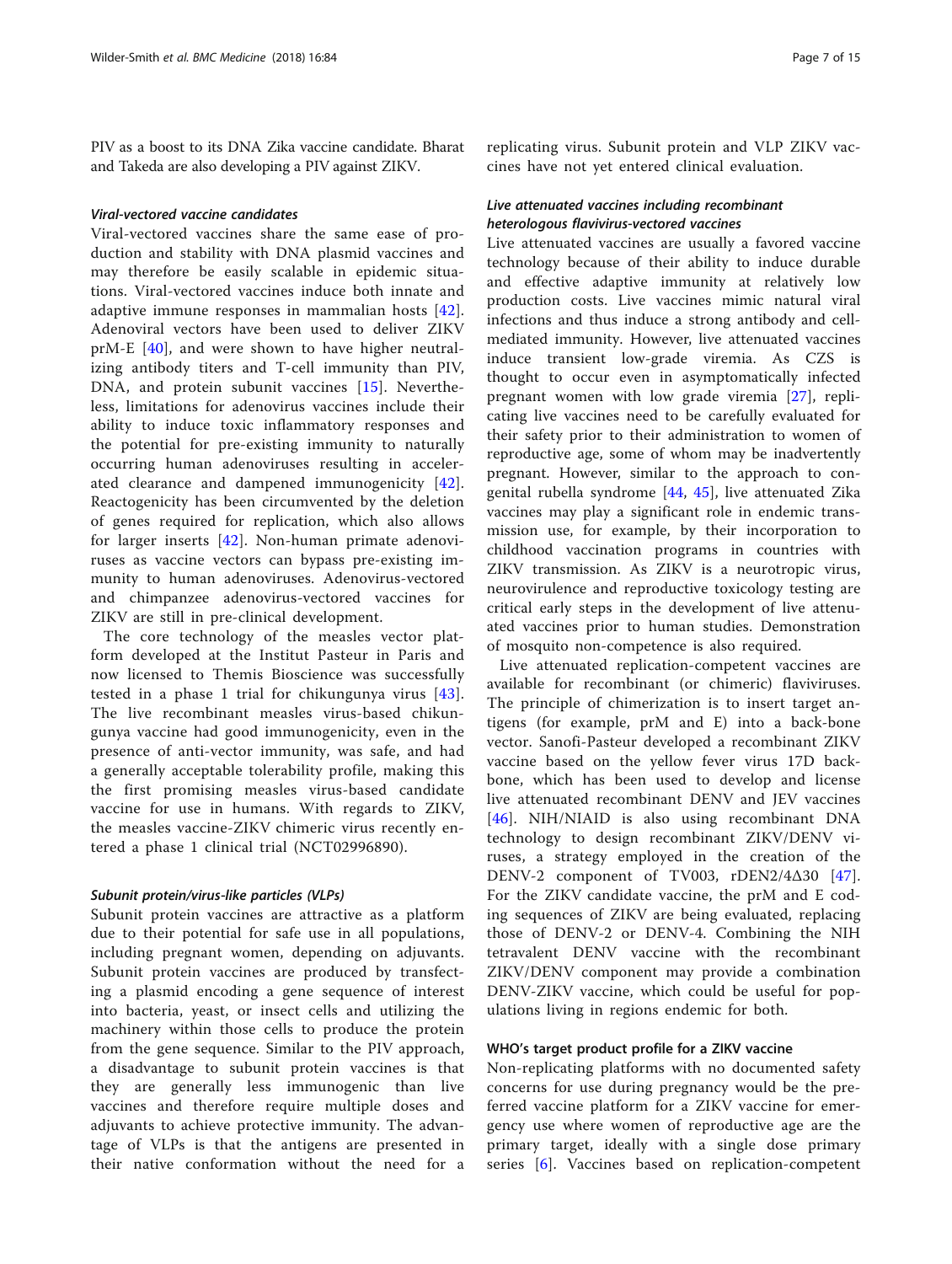PIV as a boost to its DNA Zika vaccine candidate. Bharat and Takeda are also developing a PIV against ZIKV.

#### Viral-vectored vaccine candidates

Viral-vectored vaccines share the same ease of production and stability with DNA plasmid vaccines and may therefore be easily scalable in epidemic situations. Viral-vectored vaccines induce both innate and adaptive immune responses in mammalian hosts [[42](#page-13-0)]. Adenoviral vectors have been used to deliver ZIKV prM-E [\[40](#page-13-0)], and were shown to have higher neutralizing antibody titers and T-cell immunity than PIV, DNA, and protein subunit vaccines [[15\]](#page-13-0). Nevertheless, limitations for adenovirus vaccines include their ability to induce toxic inflammatory responses and the potential for pre-existing immunity to naturally occurring human adenoviruses resulting in accelerated clearance and dampened immunogenicity [[42](#page-13-0)]. Reactogenicity has been circumvented by the deletion of genes required for replication, which also allows for larger inserts [\[42](#page-13-0)]. Non-human primate adenoviruses as vaccine vectors can bypass pre-existing immunity to human adenoviruses. Adenovirus-vectored and chimpanzee adenovirus-vectored vaccines for ZIKV are still in pre-clinical development.

The core technology of the measles vector platform developed at the Institut Pasteur in Paris and now licensed to Themis Bioscience was successfully tested in a phase 1 trial for chikungunya virus [[43](#page-13-0)]. The live recombinant measles virus-based chikungunya vaccine had good immunogenicity, even in the presence of anti-vector immunity, was safe, and had a generally acceptable tolerability profile, making this the first promising measles virus-based candidate vaccine for use in humans. With regards to ZIKV, the measles vaccine-ZIKV chimeric virus recently entered a phase 1 clinical trial (NCT02996890).

#### Subunit protein/virus-like particles (VLPs)

Subunit protein vaccines are attractive as a platform due to their potential for safe use in all populations, including pregnant women, depending on adjuvants. Subunit protein vaccines are produced by transfecting a plasmid encoding a gene sequence of interest into bacteria, yeast, or insect cells and utilizing the machinery within those cells to produce the protein from the gene sequence. Similar to the PIV approach, a disadvantage to subunit protein vaccines is that they are generally less immunogenic than live vaccines and therefore require multiple doses and adjuvants to achieve protective immunity. The advantage of VLPs is that the antigens are presented in their native conformation without the need for a

replicating virus. Subunit protein and VLP ZIKV vaccines have not yet entered clinical evaluation.

## Live attenuated vaccines including recombinant heterologous flavivirus-vectored vaccines

Live attenuated vaccines are usually a favored vaccine technology because of their ability to induce durable and effective adaptive immunity at relatively low production costs. Live vaccines mimic natural viral infections and thus induce a strong antibody and cellmediated immunity. However, live attenuated vaccines induce transient low-grade viremia. As CZS is thought to occur even in asymptomatically infected pregnant women with low grade viremia [\[27](#page-13-0)], replicating live vaccines need to be carefully evaluated for their safety prior to their administration to women of reproductive age, some of whom may be inadvertently pregnant. However, similar to the approach to congenital rubella syndrome [[44,](#page-13-0) [45](#page-13-0)], live attenuated Zika vaccines may play a significant role in endemic transmission use, for example, by their incorporation to childhood vaccination programs in countries with ZIKV transmission. As ZIKV is a neurotropic virus, neurovirulence and reproductive toxicology testing are critical early steps in the development of live attenuated vaccines prior to human studies. Demonstration of mosquito non-competence is also required.

Live attenuated replication-competent vaccines are available for recombinant (or chimeric) flaviviruses. The principle of chimerization is to insert target antigens (for example, prM and E) into a back-bone vector. Sanofi-Pasteur developed a recombinant ZIKV vaccine based on the yellow fever virus 17D backbone, which has been used to develop and license live attenuated recombinant DENV and JEV vaccines [[46](#page-13-0)]. NIH/NIAID is also using recombinant DNA technology to design recombinant ZIKV/DENV viruses, a strategy employed in the creation of the DENV-2 component of TV003, rDEN2/4Δ30 [[47](#page-13-0)]. For the ZIKV candidate vaccine, the prM and E coding sequences of ZIKV are being evaluated, replacing those of DENV-2 or DENV-4. Combining the NIH tetravalent DENV vaccine with the recombinant ZIKV/DENV component may provide a combination DENV-ZIKV vaccine, which could be useful for populations living in regions endemic for both.

#### WHO's target product profile for a ZIKV vaccine

Non-replicating platforms with no documented safety concerns for use during pregnancy would be the preferred vaccine platform for a ZIKV vaccine for emergency use where women of reproductive age are the primary target, ideally with a single dose primary series [[6\]](#page-12-0). Vaccines based on replication-competent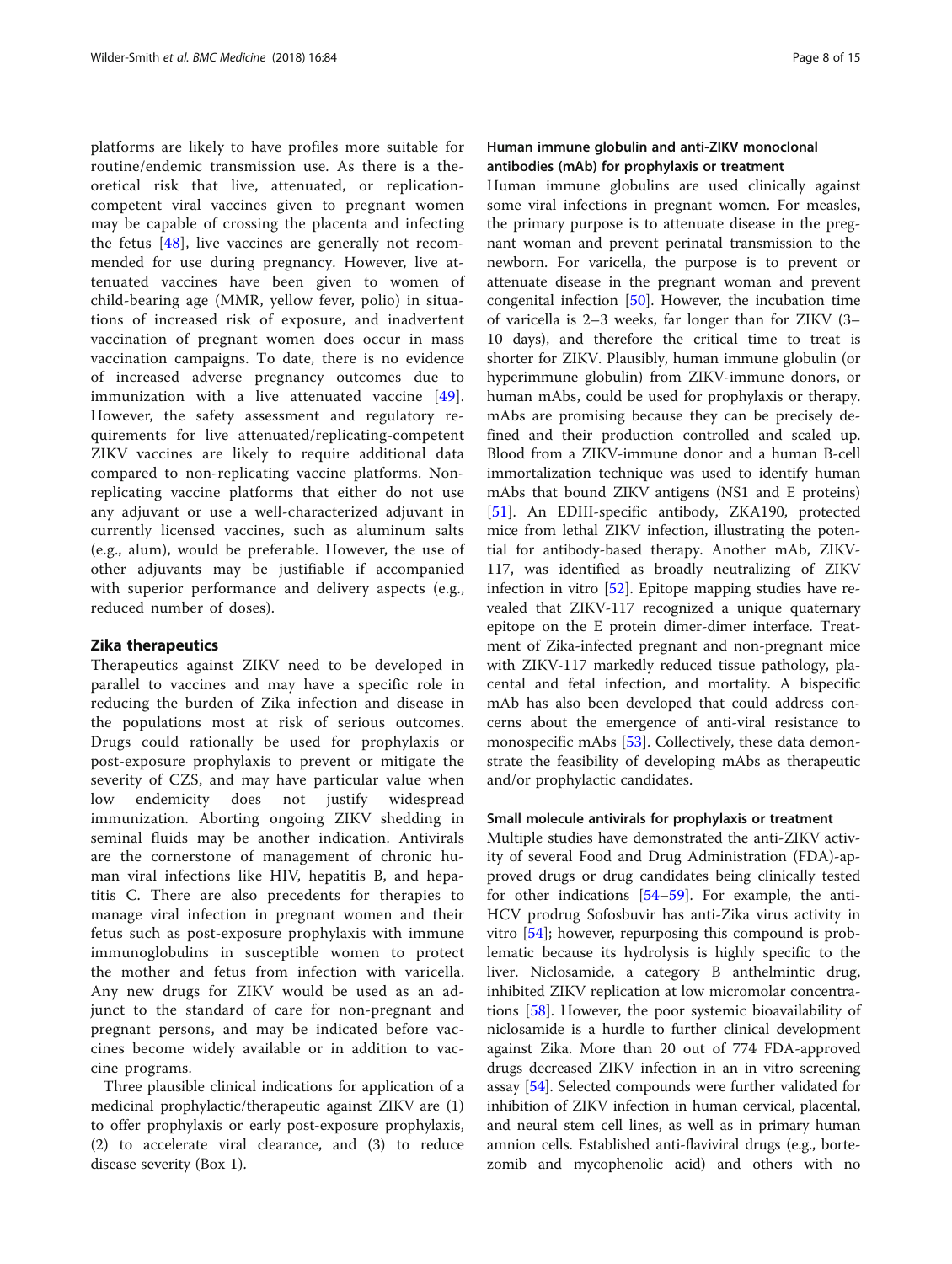platforms are likely to have profiles more suitable for routine/endemic transmission use. As there is a theoretical risk that live, attenuated, or replicationcompetent viral vaccines given to pregnant women may be capable of crossing the placenta and infecting the fetus [[48\]](#page-13-0), live vaccines are generally not recommended for use during pregnancy. However, live attenuated vaccines have been given to women of child-bearing age (MMR, yellow fever, polio) in situations of increased risk of exposure, and inadvertent vaccination of pregnant women does occur in mass vaccination campaigns. To date, there is no evidence of increased adverse pregnancy outcomes due to immunization with a live attenuated vaccine [[49](#page-13-0)]. However, the safety assessment and regulatory requirements for live attenuated/replicating-competent ZIKV vaccines are likely to require additional data compared to non-replicating vaccine platforms. Nonreplicating vaccine platforms that either do not use any adjuvant or use a well-characterized adjuvant in currently licensed vaccines, such as aluminum salts (e.g., alum), would be preferable. However, the use of other adjuvants may be justifiable if accompanied with superior performance and delivery aspects (e.g., reduced number of doses).

## Zika therapeutics

Therapeutics against ZIKV need to be developed in parallel to vaccines and may have a specific role in reducing the burden of Zika infection and disease in the populations most at risk of serious outcomes. Drugs could rationally be used for prophylaxis or post-exposure prophylaxis to prevent or mitigate the severity of CZS, and may have particular value when low endemicity does not justify widespread immunization. Aborting ongoing ZIKV shedding in seminal fluids may be another indication. Antivirals are the cornerstone of management of chronic human viral infections like HIV, hepatitis B, and hepatitis C. There are also precedents for therapies to manage viral infection in pregnant women and their fetus such as post-exposure prophylaxis with immune immunoglobulins in susceptible women to protect the mother and fetus from infection with varicella. Any new drugs for ZIKV would be used as an adjunct to the standard of care for non-pregnant and pregnant persons, and may be indicated before vaccines become widely available or in addition to vaccine programs.

Three plausible clinical indications for application of a medicinal prophylactic/therapeutic against ZIKV are (1) to offer prophylaxis or early post-exposure prophylaxis, (2) to accelerate viral clearance, and (3) to reduce disease severity (Box 1).

## Human immune globulin and anti-ZIKV monoclonal antibodies (mAb) for prophylaxis or treatment

Human immune globulins are used clinically against some viral infections in pregnant women. For measles, the primary purpose is to attenuate disease in the pregnant woman and prevent perinatal transmission to the newborn. For varicella, the purpose is to prevent or attenuate disease in the pregnant woman and prevent congenital infection [\[50](#page-13-0)]. However, the incubation time of varicella is 2–3 weeks, far longer than for ZIKV (3– 10 days), and therefore the critical time to treat is shorter for ZIKV. Plausibly, human immune globulin (or hyperimmune globulin) from ZIKV-immune donors, or human mAbs, could be used for prophylaxis or therapy. mAbs are promising because they can be precisely defined and their production controlled and scaled up. Blood from a ZIKV-immune donor and a human B-cell immortalization technique was used to identify human mAbs that bound ZIKV antigens (NS1 and E proteins) [[51\]](#page-13-0). An EDIII-specific antibody, ZKA190, protected mice from lethal ZIKV infection, illustrating the potential for antibody-based therapy. Another mAb, ZIKV-117, was identified as broadly neutralizing of ZIKV infection in vitro [\[52\]](#page-13-0). Epitope mapping studies have revealed that ZIKV-117 recognized a unique quaternary epitope on the E protein dimer-dimer interface. Treatment of Zika-infected pregnant and non-pregnant mice with ZIKV-117 markedly reduced tissue pathology, placental and fetal infection, and mortality. A bispecific mAb has also been developed that could address concerns about the emergence of anti-viral resistance to monospecific mAbs [[53\]](#page-13-0). Collectively, these data demonstrate the feasibility of developing mAbs as therapeutic and/or prophylactic candidates.

#### Small molecule antivirals for prophylaxis or treatment

Multiple studies have demonstrated the anti-ZIKV activity of several Food and Drug Administration (FDA)-approved drugs or drug candidates being clinically tested for other indications [[54](#page-13-0)–[59](#page-14-0)]. For example, the anti-HCV prodrug Sofosbuvir has anti-Zika virus activity in vitro [\[54](#page-13-0)]; however, repurposing this compound is problematic because its hydrolysis is highly specific to the liver. Niclosamide, a category B anthelmintic drug, inhibited ZIKV replication at low micromolar concentrations [[58\]](#page-13-0). However, the poor systemic bioavailability of niclosamide is a hurdle to further clinical development against Zika. More than 20 out of 774 FDA-approved drugs decreased ZIKV infection in an in vitro screening assay [\[54\]](#page-13-0). Selected compounds were further validated for inhibition of ZIKV infection in human cervical, placental, and neural stem cell lines, as well as in primary human amnion cells. Established anti-flaviviral drugs (e.g., bortezomib and mycophenolic acid) and others with no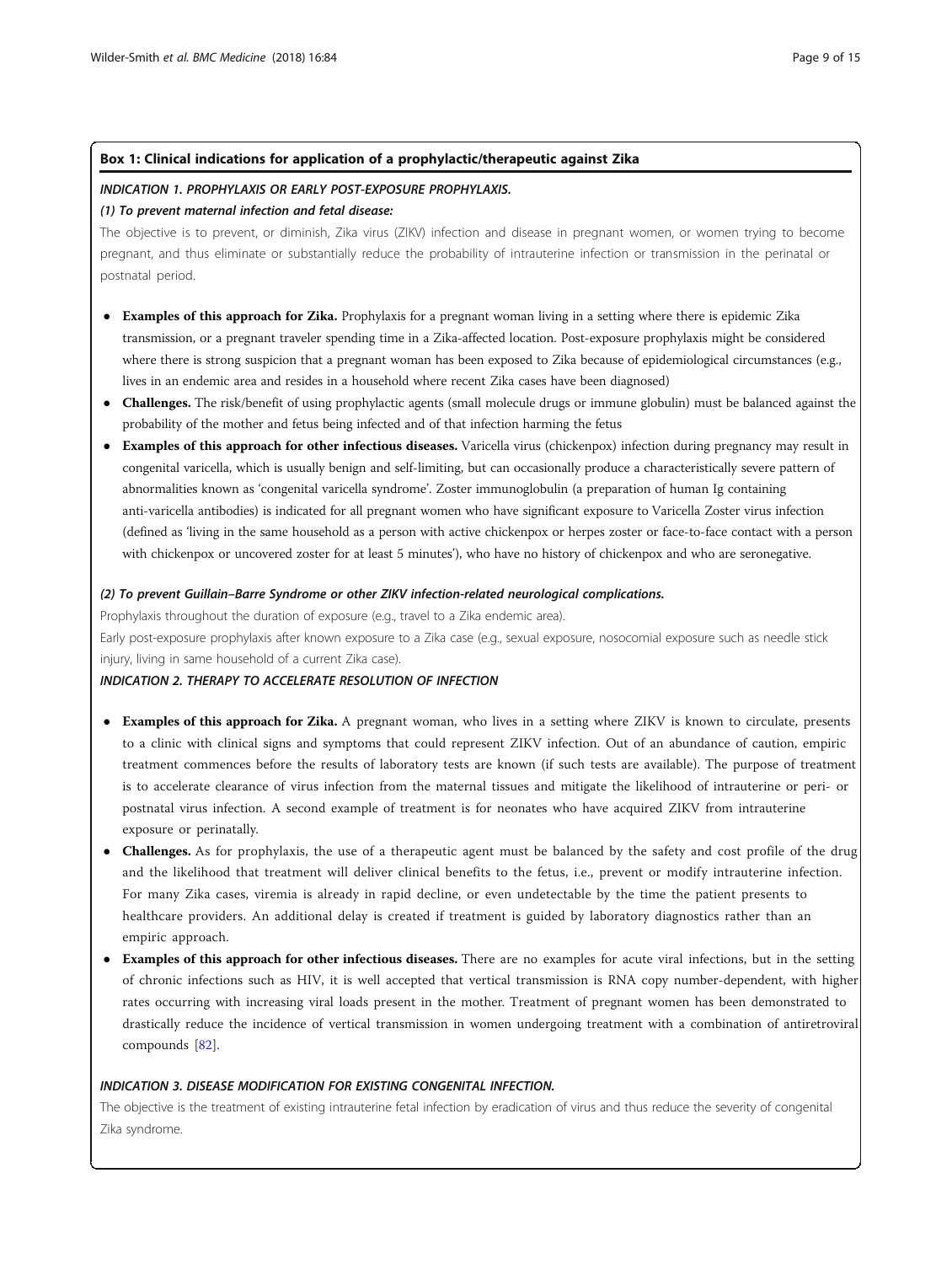#### Box 1: Clinical indications for application of a prophylactic/therapeutic against Zika

#### INDICATION 1. PROPHYLAXIS OR EARLY POST-EXPOSURE PROPHYLAXIS.

#### (1) To prevent maternal infection and fetal disease:

The objective is to prevent, or diminish, Zika virus (ZIKV) infection and disease in pregnant women, or women trying to become pregnant, and thus eliminate or substantially reduce the probability of intrauterine infection or transmission in the perinatal or postnatal period.

- Examples of this approach for Zika. Prophylaxis for a pregnant woman living in a setting where there is epidemic Zika transmission, or a pregnant traveler spending time in a Zika-affected location. Post-exposure prophylaxis might be considered where there is strong suspicion that a pregnant woman has been exposed to Zika because of epidemiological circumstances (e.g., lives in an endemic area and resides in a household where recent Zika cases have been diagnosed)
- Challenges. The risk/benefit of using prophylactic agents (small molecule drugs or immune globulin) must be balanced against the probability of the mother and fetus being infected and of that infection harming the fetus
- Examples of this approach for other infectious diseases. Varicella virus (chickenpox) infection during pregnancy may result in congenital varicella, which is usually benign and self-limiting, but can occasionally produce a characteristically severe pattern of abnormalities known as 'congenital varicella syndrome'. Zoster immunoglobulin (a preparation of human Ig containing anti-varicella antibodies) is indicated for all pregnant women who have significant exposure to Varicella Zoster virus infection (defined as 'living in the same household as a person with active chickenpox or herpes zoster or face-to-face contact with a person with chickenpox or uncovered zoster for at least 5 minutes'), who have no history of chickenpox and who are seronegative.

#### (2) To prevent Guillain–Barre Syndrome or other ZIKV infection-related neurological complications.

Prophylaxis throughout the duration of exposure (e.g., travel to a Zika endemic area).

Early post-exposure prophylaxis after known exposure to a Zika case (e.g., sexual exposure, nosocomial exposure such as needle stick injury, living in same household of a current Zika case).

#### INDICATION 2. THERAPY TO ACCELERATE RESOLUTION OF INFECTION

- Examples of this approach for Zika. A pregnant woman, who lives in a setting where ZIKV is known to circulate, presents to a clinic with clinical signs and symptoms that could represent ZIKV infection. Out of an abundance of caution, empiric treatment commences before the results of laboratory tests are known (if such tests are available). The purpose of treatment is to accelerate clearance of virus infection from the maternal tissues and mitigate the likelihood of intrauterine or peri- or postnatal virus infection. A second example of treatment is for neonates who have acquired ZIKV from intrauterine exposure or perinatally.
- Challenges. As for prophylaxis, the use of a therapeutic agent must be balanced by the safety and cost profile of the drug and the likelihood that treatment will deliver clinical benefits to the fetus, i.e., prevent or modify intrauterine infection. For many Zika cases, viremia is already in rapid decline, or even undetectable by the time the patient presents to healthcare providers. An additional delay is created if treatment is guided by laboratory diagnostics rather than an empiric approach.
- Examples of this approach for other infectious diseases. There are no examples for acute viral infections, but in the setting of chronic infections such as HIV, it is well accepted that vertical transmission is RNA copy number-dependent, with higher rates occurring with increasing viral loads present in the mother. Treatment of pregnant women has been demonstrated to drastically reduce the incidence of vertical transmission in women undergoing treatment with a combination of antiretroviral compounds [\[82\]](#page-14-0).

#### INDICATION 3. DISEASE MODIFICATION FOR EXISTING CONGENITAL INFECTION.

The objective is the treatment of existing intrauterine fetal infection by eradication of virus and thus reduce the severity of congenital Zika syndrome.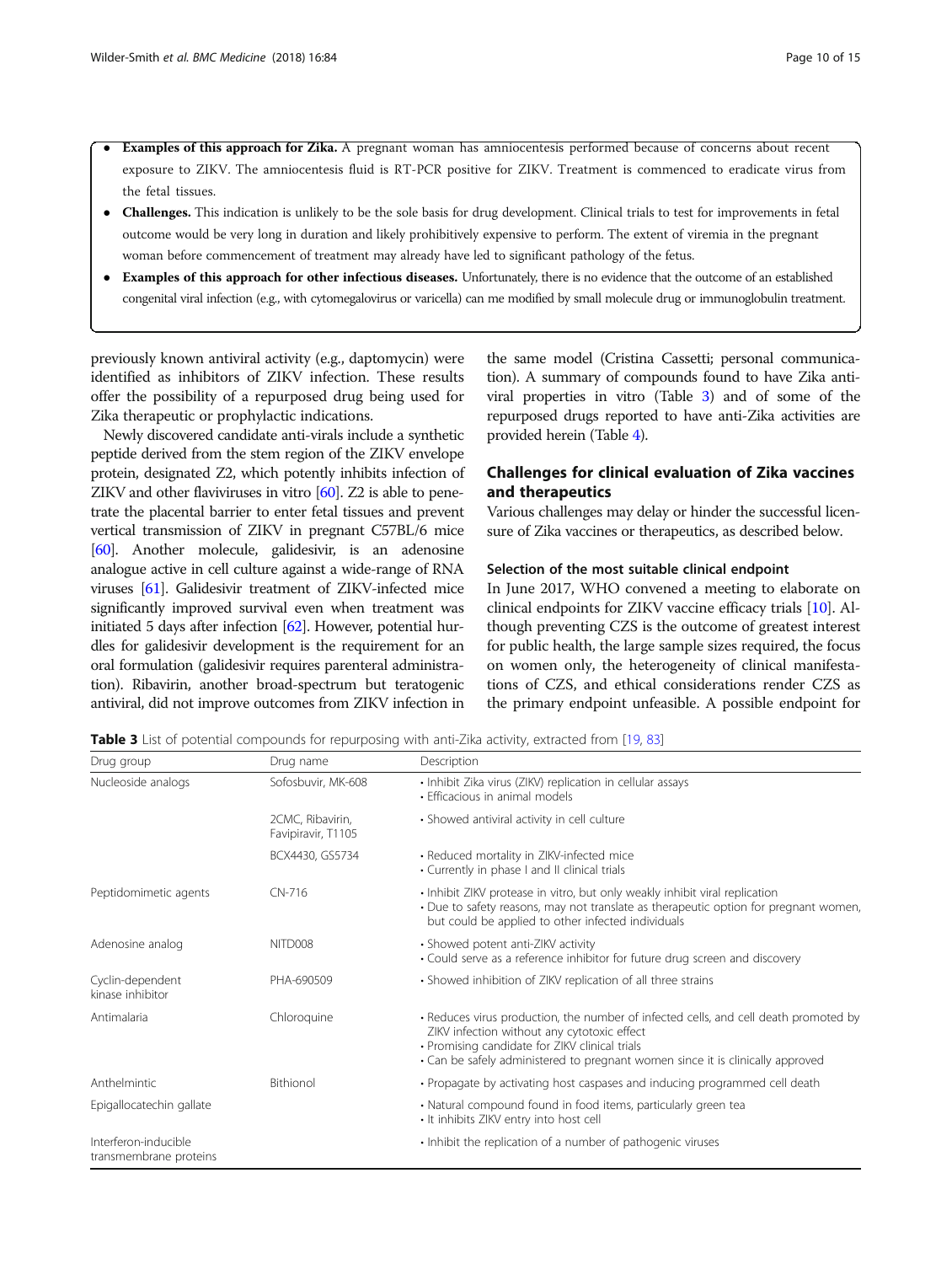- <span id="page-9-0"></span> Examples of this approach for Zika. A pregnant woman has amniocentesis performed because of concerns about recent exposure to ZIKV. The amniocentesis fluid is RT-PCR positive for ZIKV. Treatment is commenced to eradicate virus from the fetal tissues.
- Challenges. This indication is unlikely to be the sole basis for drug development. Clinical trials to test for improvements in fetal outcome would be very long in duration and likely prohibitively expensive to perform. The extent of viremia in the pregnant woman before commencement of treatment may already have led to significant pathology of the fetus.
- Examples of this approach for other infectious diseases. Unfortunately, there is no evidence that the outcome of an established congenital viral infection (e.g., with cytomegalovirus or varicella) can me modified by small molecule drug or immunoglobulin treatment.

previously known antiviral activity (e.g., daptomycin) were identified as inhibitors of ZIKV infection. These results offer the possibility of a repurposed drug being used for Zika therapeutic or prophylactic indications.

Newly discovered candidate anti-virals include a synthetic peptide derived from the stem region of the ZIKV envelope protein, designated Z2, which potently inhibits infection of ZIKV and other flaviviruses in vitro [\[60\]](#page-14-0). Z2 is able to penetrate the placental barrier to enter fetal tissues and prevent vertical transmission of ZIKV in pregnant C57BL/6 mice [[60](#page-14-0)]. Another molecule, galidesivir, is an adenosine analogue active in cell culture against a wide-range of RNA viruses [\[61](#page-14-0)]. Galidesivir treatment of ZIKV-infected mice significantly improved survival even when treatment was initiated 5 days after infection [[62\]](#page-14-0). However, potential hurdles for galidesivir development is the requirement for an oral formulation (galidesivir requires parenteral administration). Ribavirin, another broad-spectrum but teratogenic antiviral, did not improve outcomes from ZIKV infection in

the same model (Cristina Cassetti; personal communication). A summary of compounds found to have Zika antiviral properties in vitro (Table 3) and of some of the repurposed drugs reported to have anti-Zika activities are provided herein (Table [4\)](#page-10-0).

## Challenges for clinical evaluation of Zika vaccines and therapeutics

Various challenges may delay or hinder the successful licensure of Zika vaccines or therapeutics, as described below.

## Selection of the most suitable clinical endpoint

In June 2017, WHO convened a meeting to elaborate on clinical endpoints for ZIKV vaccine efficacy trials [[10\]](#page-12-0). Although preventing CZS is the outcome of greatest interest for public health, the large sample sizes required, the focus on women only, the heterogeneity of clinical manifestations of CZS, and ethical considerations render CZS as the primary endpoint unfeasible. A possible endpoint for

| Drug group                                     | Drug name                              | Description                                                                                                                                                                                                                                                             |
|------------------------------------------------|----------------------------------------|-------------------------------------------------------------------------------------------------------------------------------------------------------------------------------------------------------------------------------------------------------------------------|
| Nucleoside analogs                             | Sofosbuvir, MK-608                     | • Inhibit Zika virus (ZIKV) replication in cellular assays<br>• Efficacious in animal models                                                                                                                                                                            |
|                                                | 2CMC, Ribavirin,<br>Favipiravir, T1105 | • Showed antiviral activity in cell culture                                                                                                                                                                                                                             |
|                                                | BCX4430, GS5734                        | • Reduced mortality in ZIKV-infected mice<br>• Currently in phase I and II clinical trials                                                                                                                                                                              |
| Peptidomimetic agents                          | CN-716                                 | • Inhibit ZIKV protease in vitro, but only weakly inhibit viral replication<br>• Due to safety reasons, may not translate as therapeutic option for pregnant women,<br>but could be applied to other infected individuals                                               |
| Adenosine analog                               | NITD008                                | • Showed potent anti-ZIKV activity<br>• Could serve as a reference inhibitor for future drug screen and discovery                                                                                                                                                       |
| Cyclin-dependent<br>kinase inhibitor           | PHA-690509                             | • Showed inhibition of ZIKV replication of all three strains                                                                                                                                                                                                            |
| Antimalaria                                    | Chloroquine                            | • Reduces virus production, the number of infected cells, and cell death promoted by<br>ZIKV infection without any cytotoxic effect<br>• Promising candidate for ZIKV clinical trials<br>• Can be safely administered to pregnant women since it is clinically approved |
| Anthelmintic                                   | Bithionol                              | • Propagate by activating host caspases and inducing programmed cell death                                                                                                                                                                                              |
| Epigallocatechin gallate                       |                                        | • Natural compound found in food items, particularly green tea<br>• It inhibits ZIKV entry into host cell                                                                                                                                                               |
| Interferon-inducible<br>transmembrane proteins |                                        | • Inhibit the replication of a number of pathogenic viruses                                                                                                                                                                                                             |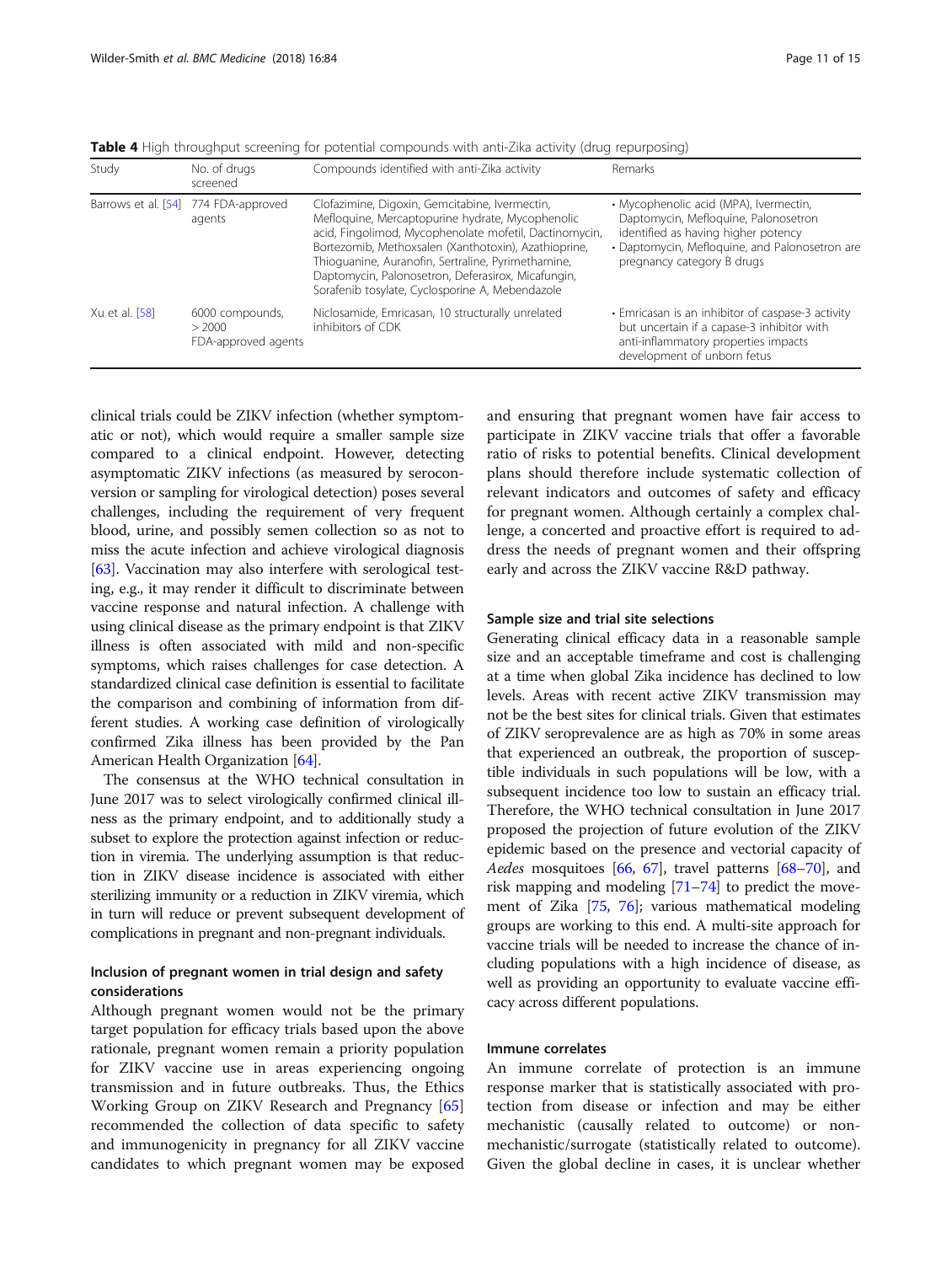<span id="page-10-0"></span>Table 4 High throughput screening for potential compounds with anti-Zika activity (drug repurposing)

| Study          | No. of drugs<br>screened                         | Compounds identified with anti-Zika activity                                                                                                                                                                                                                                                                                                                                        | Remarks                                                                                                                                                                                               |
|----------------|--------------------------------------------------|-------------------------------------------------------------------------------------------------------------------------------------------------------------------------------------------------------------------------------------------------------------------------------------------------------------------------------------------------------------------------------------|-------------------------------------------------------------------------------------------------------------------------------------------------------------------------------------------------------|
|                | Barrows et al. [54] 774 FDA-approved<br>agents   | Clofazimine, Digoxin, Gemcitabine, Ivermectin,<br>Mefloquine, Mercaptopurine hydrate, Mycophenolic<br>acid, Fingolimod, Mycophenolate mofetil, Dactinomycin,<br>Bortezomib, Methoxsalen (Xanthotoxin), Azathioprine,<br>Thioquanine, Auranofin, Sertraline, Pyrimethamine,<br>Daptomycin, Palonosetron, Deferasirox, Micafungin,<br>Sorafenib tosylate, Cyclosporine A, Mebendazole | • Mycophenolic acid (MPA), Ivermectin,<br>Daptomycin, Mefloquine, Palonosetron<br>identified as having higher potency<br>• Daptomycin, Mefloquine, and Palonosetron are<br>pregnancy category B drugs |
| Xu et al. [58] | 6000 compounds,<br>> 2000<br>FDA-approved agents | Niclosamide, Emricasan, 10 structurally unrelated<br>inhibitors of CDK                                                                                                                                                                                                                                                                                                              | • Emricasan is an inhibitor of caspase-3 activity<br>but uncertain if a capase-3 inhibitor with<br>anti-inflammatory properties impacts<br>development of unborn fetus                                |

clinical trials could be ZIKV infection (whether symptomatic or not), which would require a smaller sample size compared to a clinical endpoint. However, detecting asymptomatic ZIKV infections (as measured by seroconversion or sampling for virological detection) poses several challenges, including the requirement of very frequent blood, urine, and possibly semen collection so as not to miss the acute infection and achieve virological diagnosis [[63](#page-14-0)]. Vaccination may also interfere with serological testing, e.g., it may render it difficult to discriminate between vaccine response and natural infection. A challenge with using clinical disease as the primary endpoint is that ZIKV illness is often associated with mild and non-specific symptoms, which raises challenges for case detection. A standardized clinical case definition is essential to facilitate the comparison and combining of information from different studies. A working case definition of virologically confirmed Zika illness has been provided by the Pan American Health Organization [\[64\]](#page-14-0).

The consensus at the WHO technical consultation in June 2017 was to select virologically confirmed clinical illness as the primary endpoint, and to additionally study a subset to explore the protection against infection or reduction in viremia. The underlying assumption is that reduction in ZIKV disease incidence is associated with either sterilizing immunity or a reduction in ZIKV viremia, which in turn will reduce or prevent subsequent development of complications in pregnant and non-pregnant individuals.

## Inclusion of pregnant women in trial design and safety considerations

Although pregnant women would not be the primary target population for efficacy trials based upon the above rationale, pregnant women remain a priority population for ZIKV vaccine use in areas experiencing ongoing transmission and in future outbreaks. Thus, the Ethics Working Group on ZIKV Research and Pregnancy [[65](#page-14-0)] recommended the collection of data specific to safety and immunogenicity in pregnancy for all ZIKV vaccine candidates to which pregnant women may be exposed

and ensuring that pregnant women have fair access to participate in ZIKV vaccine trials that offer a favorable ratio of risks to potential benefits. Clinical development plans should therefore include systematic collection of relevant indicators and outcomes of safety and efficacy for pregnant women. Although certainly a complex challenge, a concerted and proactive effort is required to address the needs of pregnant women and their offspring early and across the ZIKV vaccine R&D pathway.

#### Sample size and trial site selections

Generating clinical efficacy data in a reasonable sample size and an acceptable timeframe and cost is challenging at a time when global Zika incidence has declined to low levels. Areas with recent active ZIKV transmission may not be the best sites for clinical trials. Given that estimates of ZIKV seroprevalence are as high as 70% in some areas that experienced an outbreak, the proportion of susceptible individuals in such populations will be low, with a subsequent incidence too low to sustain an efficacy trial. Therefore, the WHO technical consultation in June 2017 proposed the projection of future evolution of the ZIKV epidemic based on the presence and vectorial capacity of Aedes mosquitoes [\[66,](#page-14-0) [67](#page-14-0)], travel patterns [[68](#page-14-0)–[70\]](#page-14-0), and risk mapping and modeling [[71](#page-14-0)–[74](#page-14-0)] to predict the movement of Zika [\[75,](#page-14-0) [76\]](#page-14-0); various mathematical modeling groups are working to this end. A multi-site approach for vaccine trials will be needed to increase the chance of including populations with a high incidence of disease, as well as providing an opportunity to evaluate vaccine efficacy across different populations.

#### Immune correlates

An immune correlate of protection is an immune response marker that is statistically associated with protection from disease or infection and may be either mechanistic (causally related to outcome) or nonmechanistic/surrogate (statistically related to outcome). Given the global decline in cases, it is unclear whether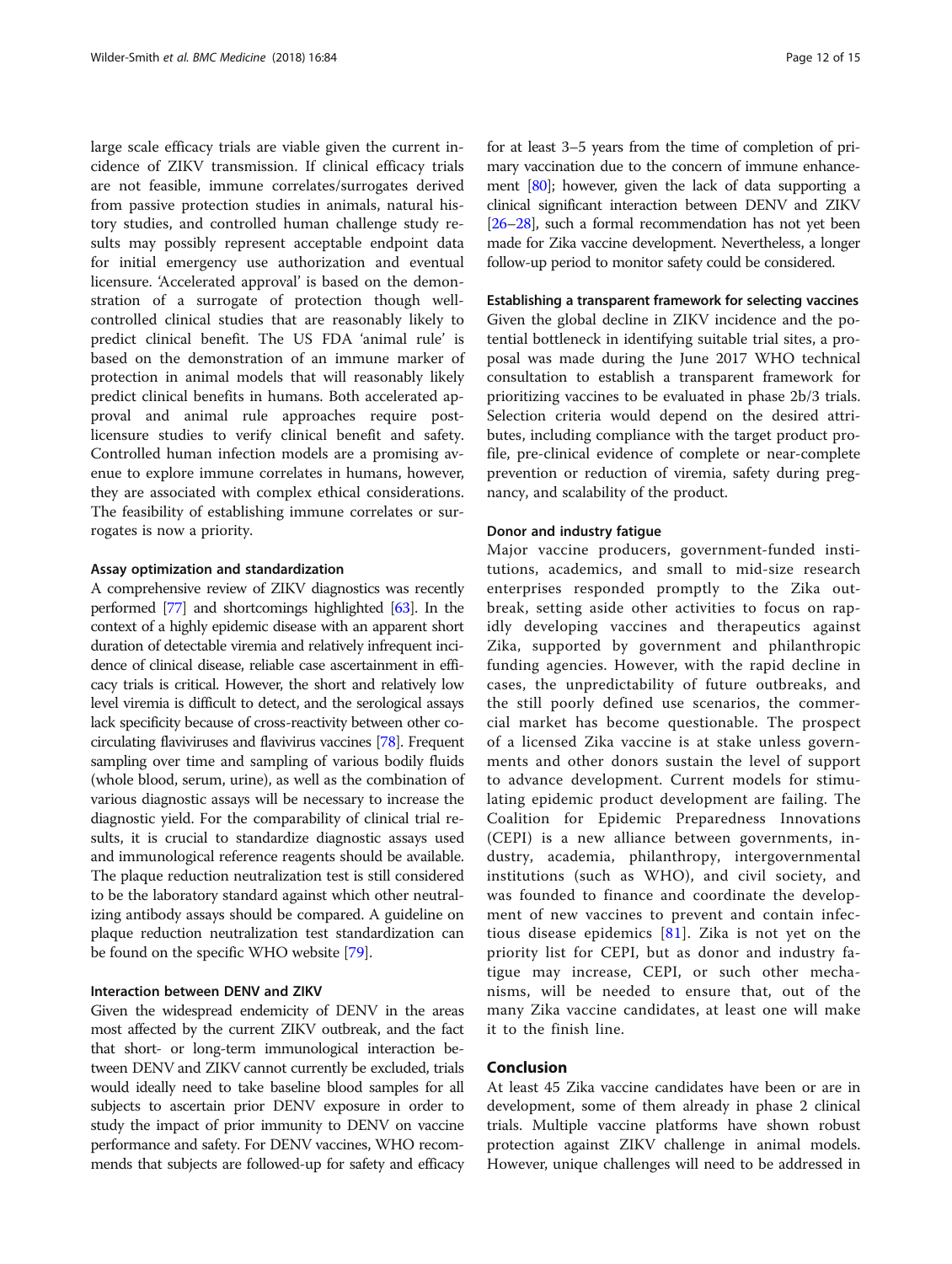large scale efficacy trials are viable given the current incidence of ZIKV transmission. If clinical efficacy trials are not feasible, immune correlates/surrogates derived from passive protection studies in animals, natural history studies, and controlled human challenge study results may possibly represent acceptable endpoint data for initial emergency use authorization and eventual licensure. 'Accelerated approval' is based on the demonstration of a surrogate of protection though wellcontrolled clinical studies that are reasonably likely to predict clinical benefit. The US FDA 'animal rule' is based on the demonstration of an immune marker of protection in animal models that will reasonably likely predict clinical benefits in humans. Both accelerated approval and animal rule approaches require postlicensure studies to verify clinical benefit and safety. Controlled human infection models are a promising avenue to explore immune correlates in humans, however, they are associated with complex ethical considerations. The feasibility of establishing immune correlates or surrogates is now a priority.

#### Assay optimization and standardization

A comprehensive review of ZIKV diagnostics was recently performed [[77](#page-14-0)] and shortcomings highlighted [\[63\]](#page-14-0). In the context of a highly epidemic disease with an apparent short duration of detectable viremia and relatively infrequent incidence of clinical disease, reliable case ascertainment in efficacy trials is critical. However, the short and relatively low level viremia is difficult to detect, and the serological assays lack specificity because of cross-reactivity between other cocirculating flaviviruses and flavivirus vaccines [\[78\]](#page-14-0). Frequent sampling over time and sampling of various bodily fluids (whole blood, serum, urine), as well as the combination of various diagnostic assays will be necessary to increase the diagnostic yield. For the comparability of clinical trial results, it is crucial to standardize diagnostic assays used and immunological reference reagents should be available. The plaque reduction neutralization test is still considered to be the laboratory standard against which other neutralizing antibody assays should be compared. A guideline on plaque reduction neutralization test standardization can be found on the specific WHO website [\[79\]](#page-14-0).

## Interaction between DENV and ZIKV

Given the widespread endemicity of DENV in the areas most affected by the current ZIKV outbreak, and the fact that short- or long-term immunological interaction between DENV and ZIKV cannot currently be excluded, trials would ideally need to take baseline blood samples for all subjects to ascertain prior DENV exposure in order to study the impact of prior immunity to DENV on vaccine performance and safety. For DENV vaccines, WHO recommends that subjects are followed-up for safety and efficacy for at least 3–5 years from the time of completion of primary vaccination due to the concern of immune enhancement [[80](#page-14-0)]; however, given the lack of data supporting a clinical significant interaction between DENV and ZIKV [[26](#page-13-0)–[28](#page-13-0)], such a formal recommendation has not yet been made for Zika vaccine development. Nevertheless, a longer follow-up period to monitor safety could be considered.

#### Establishing a transparent framework for selecting vaccines

Given the global decline in ZIKV incidence and the potential bottleneck in identifying suitable trial sites, a proposal was made during the June 2017 WHO technical consultation to establish a transparent framework for prioritizing vaccines to be evaluated in phase 2b/3 trials. Selection criteria would depend on the desired attributes, including compliance with the target product profile, pre-clinical evidence of complete or near-complete prevention or reduction of viremia, safety during pregnancy, and scalability of the product.

#### Donor and industry fatigue

Major vaccine producers, government-funded institutions, academics, and small to mid-size research enterprises responded promptly to the Zika outbreak, setting aside other activities to focus on rapidly developing vaccines and therapeutics against Zika, supported by government and philanthropic funding agencies. However, with the rapid decline in cases, the unpredictability of future outbreaks, and the still poorly defined use scenarios, the commercial market has become questionable. The prospect of a licensed Zika vaccine is at stake unless governments and other donors sustain the level of support to advance development. Current models for stimulating epidemic product development are failing. The Coalition for Epidemic Preparedness Innovations (CEPI) is a new alliance between governments, industry, academia, philanthropy, intergovernmental institutions (such as WHO), and civil society, and was founded to finance and coordinate the development of new vaccines to prevent and contain infectious disease epidemics  $[81]$  $[81]$ . Zika is not yet on the priority list for CEPI, but as donor and industry fatigue may increase, CEPI, or such other mechanisms, will be needed to ensure that, out of the many Zika vaccine candidates, at least one will make it to the finish line.

## Conclusion

At least 45 Zika vaccine candidates have been or are in development, some of them already in phase 2 clinical trials. Multiple vaccine platforms have shown robust protection against ZIKV challenge in animal models. However, unique challenges will need to be addressed in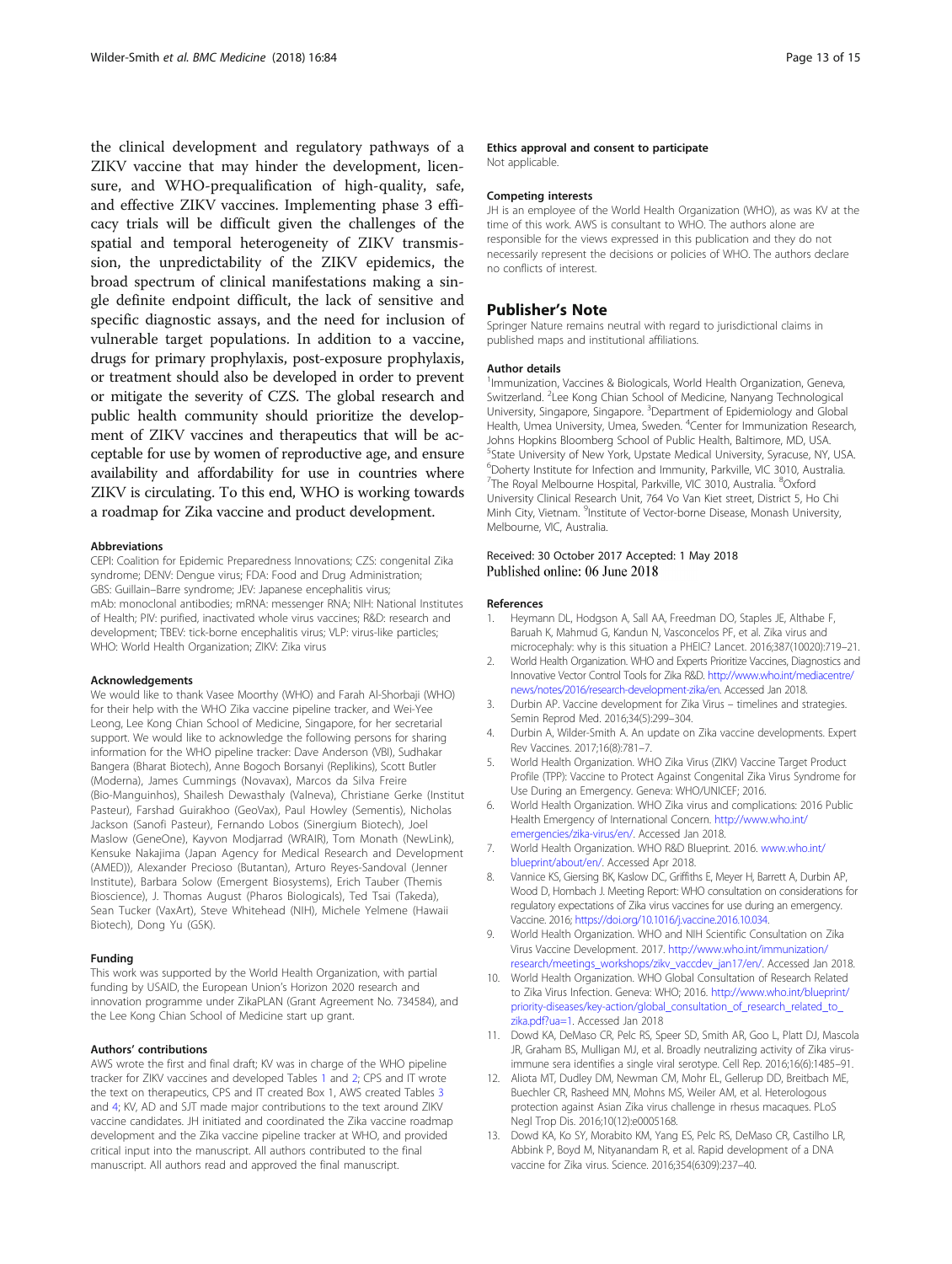<span id="page-12-0"></span>the clinical development and regulatory pathways of a ZIKV vaccine that may hinder the development, licensure, and WHO-prequalification of high-quality, safe, and effective ZIKV vaccines. Implementing phase 3 efficacy trials will be difficult given the challenges of the spatial and temporal heterogeneity of ZIKV transmission, the unpredictability of the ZIKV epidemics, the broad spectrum of clinical manifestations making a single definite endpoint difficult, the lack of sensitive and specific diagnostic assays, and the need for inclusion of vulnerable target populations. In addition to a vaccine, drugs for primary prophylaxis, post-exposure prophylaxis, or treatment should also be developed in order to prevent or mitigate the severity of CZS. The global research and public health community should prioritize the development of ZIKV vaccines and therapeutics that will be acceptable for use by women of reproductive age, and ensure availability and affordability for use in countries where ZIKV is circulating. To this end, WHO is working towards a roadmap for Zika vaccine and product development.

#### Abbreviations

CEPI: Coalition for Epidemic Preparedness Innovations; CZS: congenital Zika syndrome; DENV: Dengue virus; FDA: Food and Drug Administration; GBS: Guillain–Barre syndrome; JEV: Japanese encephalitis virus; mAb: monoclonal antibodies; mRNA: messenger RNA; NIH: National Institutes of Health; PIV: purified, inactivated whole virus vaccines; R&D: research and development; TBEV: tick-borne encephalitis virus; VLP: virus-like particles; WHO: World Health Organization; ZIKV: Zika virus

#### Acknowledgements

We would like to thank Vasee Moorthy (WHO) and Farah Al-Shorbaji (WHO) for their help with the WHO Zika vaccine pipeline tracker, and Wei-Yee Leong, Lee Kong Chian School of Medicine, Singapore, for her secretarial support. We would like to acknowledge the following persons for sharing information for the WHO pipeline tracker: Dave Anderson (VBI), Sudhakar Bangera (Bharat Biotech), Anne Bogoch Borsanyi (Replikins), Scott Butler (Moderna), James Cummings (Novavax), Marcos da Silva Freire (Bio-Manguinhos), Shailesh Dewasthaly (Valneva), Christiane Gerke (Institut Pasteur), Farshad Guirakhoo (GeoVax), Paul Howley (Sementis), Nicholas Jackson (Sanofi Pasteur), Fernando Lobos (Sinergium Biotech), Joel Maslow (GeneOne), Kayvon Modjarrad (WRAIR), Tom Monath (NewLink), Kensuke Nakajima (Japan Agency for Medical Research and Development (AMED)), Alexander Precioso (Butantan), Arturo Reyes-Sandoval (Jenner Institute), Barbara Solow (Emergent Biosystems), Erich Tauber (Themis Bioscience), J. Thomas August (Pharos Biologicals), Ted Tsai (Takeda), Sean Tucker (VaxArt), Steve Whitehead (NIH), Michele Yelmene (Hawaii Biotech), Dong Yu (GSK).

#### Funding

This work was supported by the World Health Organization, with partial funding by USAID, the European Union's Horizon 2020 research and innovation programme under ZikaPLAN (Grant Agreement No. 734584), and the Lee Kong Chian School of Medicine start up grant.

#### Authors' contributions

AWS wrote the first and final draft; KV was in charge of the WHO pipeline tracker for ZIKV vaccines and developed Tables [1](#page-3-0) and [2;](#page-4-0) CPS and IT wrote the text on therapeutics, CPS and IT created Box 1, AWS created Tables [3](#page-9-0) and [4;](#page-10-0) KV, AD and SJT made major contributions to the text around ZIKV vaccine candidates. JH initiated and coordinated the Zika vaccine roadmap development and the Zika vaccine pipeline tracker at WHO, and provided critical input into the manuscript. All authors contributed to the final manuscript. All authors read and approved the final manuscript.

#### Ethics approval and consent to participate

Not applicable.

#### Competing interests

JH is an employee of the World Health Organization (WHO), as was KV at the time of this work. AWS is consultant to WHO. The authors alone are responsible for the views expressed in this publication and they do not necessarily represent the decisions or policies of WHO. The authors declare no conflicts of interest.

#### Publisher's Note

Springer Nature remains neutral with regard to jurisdictional claims in published maps and institutional affiliations.

#### Author details

<sup>1</sup> Immunization, Vaccines & Biologicals, World Health Organization, Geneva, Switzerland. <sup>2</sup> Lee Kong Chian School of Medicine, Nanyang Technological University, Singapore, Singapore. <sup>3</sup>Department of Epidemiology and Global Health, Umea University, Umea, Sweden. <sup>4</sup>Center for Immunization Research Johns Hopkins Bloomberg School of Public Health, Baltimore, MD, USA. <sup>5</sup>State University of New York, Upstate Medical University, Syracuse, NY, USA 6 Doherty Institute for Infection and Immunity, Parkville, VIC 3010, Australia. <sup>7</sup>The Royal Melbourne Hospital, Parkville, VIC 3010, Australia. <sup>8</sup>Oxford University Clinical Research Unit, 764 Vo Van Kiet street, District 5, Ho Chi Minh City, Vietnam. <sup>9</sup>Institute of Vector-borne Disease, Monash University Melbourne, VIC, Australia.

#### Received: 30 October 2017 Accepted: 1 May 2018 Published online: 06 June 2018

#### References

- 1. Heymann DL, Hodgson A, Sall AA, Freedman DO, Staples JE, Althabe F, Baruah K, Mahmud G, Kandun N, Vasconcelos PF, et al. Zika virus and microcephaly: why is this situation a PHEIC? Lancet. 2016;387(10020):719–21.
- 2. World Health Organization. WHO and Experts Prioritize Vaccines, Diagnostics and Innovative Vector Control Tools for Zika R&D. [http://www.who.int/mediacentre/](http://www.who.int/mediacentre/news/notes/2016/research-development-zika/en) [news/notes/2016/research-development-zika/en](http://www.who.int/mediacentre/news/notes/2016/research-development-zika/en). Accessed Jan 2018.
- 3. Durbin AP. Vaccine development for Zika Virus timelines and strategies. Semin Reprod Med. 2016;34(5):299–304.
- 4. Durbin A, Wilder-Smith A. An update on Zika vaccine developments. Expert Rev Vaccines. 2017;16(8):781–7.
- 5. World Health Organization. WHO Zika Virus (ZIKV) Vaccine Target Product Profile (TPP): Vaccine to Protect Against Congenital Zika Virus Syndrome for Use During an Emergency. Geneva: WHO/UNICEF; 2016.
- 6. World Health Organization. WHO Zika virus and complications: 2016 Public Health Emergency of International Concern. [http://www.who.int/](http://www.who.int/emergencies/zika-virus/en/) [emergencies/zika-virus/en/](http://www.who.int/emergencies/zika-virus/en/). Accessed Jan 2018.
- 7. World Health Organization. WHO R&D Blueprint. 2016. [www.who.int/](http://www.who.int/blueprint/about/en) [blueprint/about/en/.](http://www.who.int/blueprint/about/en) Accessed Apr 2018.
- 8. Vannice KS, Giersing BK, Kaslow DC, Griffiths E, Meyer H, Barrett A, Durbin AP, Wood D, Hombach J. Meeting Report: WHO consultation on considerations for regulatory expectations of Zika virus vaccines for use during an emergency. Vaccine. 2016; <https://doi.org/10.1016/j.vaccine.2016.10.034>.
- 9. World Health Organization. WHO and NIH Scientific Consultation on Zika Virus Vaccine Development. 2017. [http://www.who.int/immunization/](http://www.who.int/immunization/research/meetings_workshops/zikv_vaccdev_jan17/en) [research/meetings\\_workshops/zikv\\_vaccdev\\_jan17/en/.](http://www.who.int/immunization/research/meetings_workshops/zikv_vaccdev_jan17/en) Accessed Jan 2018.
- 10. World Health Organization. WHO Global Consultation of Research Related to Zika Virus Infection. Geneva: WHO; 2016. [http://www.who.int/blueprint/](http://www.who.int/blueprint/priority-diseases/key-action/global_consultation_of_research_related_to_zika.pdf?ua=1) [priority-diseases/key-action/global\\_consultation\\_of\\_research\\_related\\_to\\_](http://www.who.int/blueprint/priority-diseases/key-action/global_consultation_of_research_related_to_zika.pdf?ua=1) [zika.pdf?ua=1](http://www.who.int/blueprint/priority-diseases/key-action/global_consultation_of_research_related_to_zika.pdf?ua=1). Accessed Jan 2018
- 11. Dowd KA, DeMaso CR, Pelc RS, Speer SD, Smith AR, Goo L, Platt DJ, Mascola JR, Graham BS, Mulligan MJ, et al. Broadly neutralizing activity of Zika virusimmune sera identifies a single viral serotype. Cell Rep. 2016;16(6):1485–91.
- 12. Aliota MT, Dudley DM, Newman CM, Mohr EL, Gellerup DD, Breitbach ME, Buechler CR, Rasheed MN, Mohns MS, Weiler AM, et al. Heterologous protection against Asian Zika virus challenge in rhesus macaques. PLoS Negl Trop Dis. 2016;10(12):e0005168.
- 13. Dowd KA, Ko SY, Morabito KM, Yang ES, Pelc RS, DeMaso CR, Castilho LR, Abbink P, Boyd M, Nityanandam R, et al. Rapid development of a DNA vaccine for Zika virus. Science. 2016;354(6309):237–40.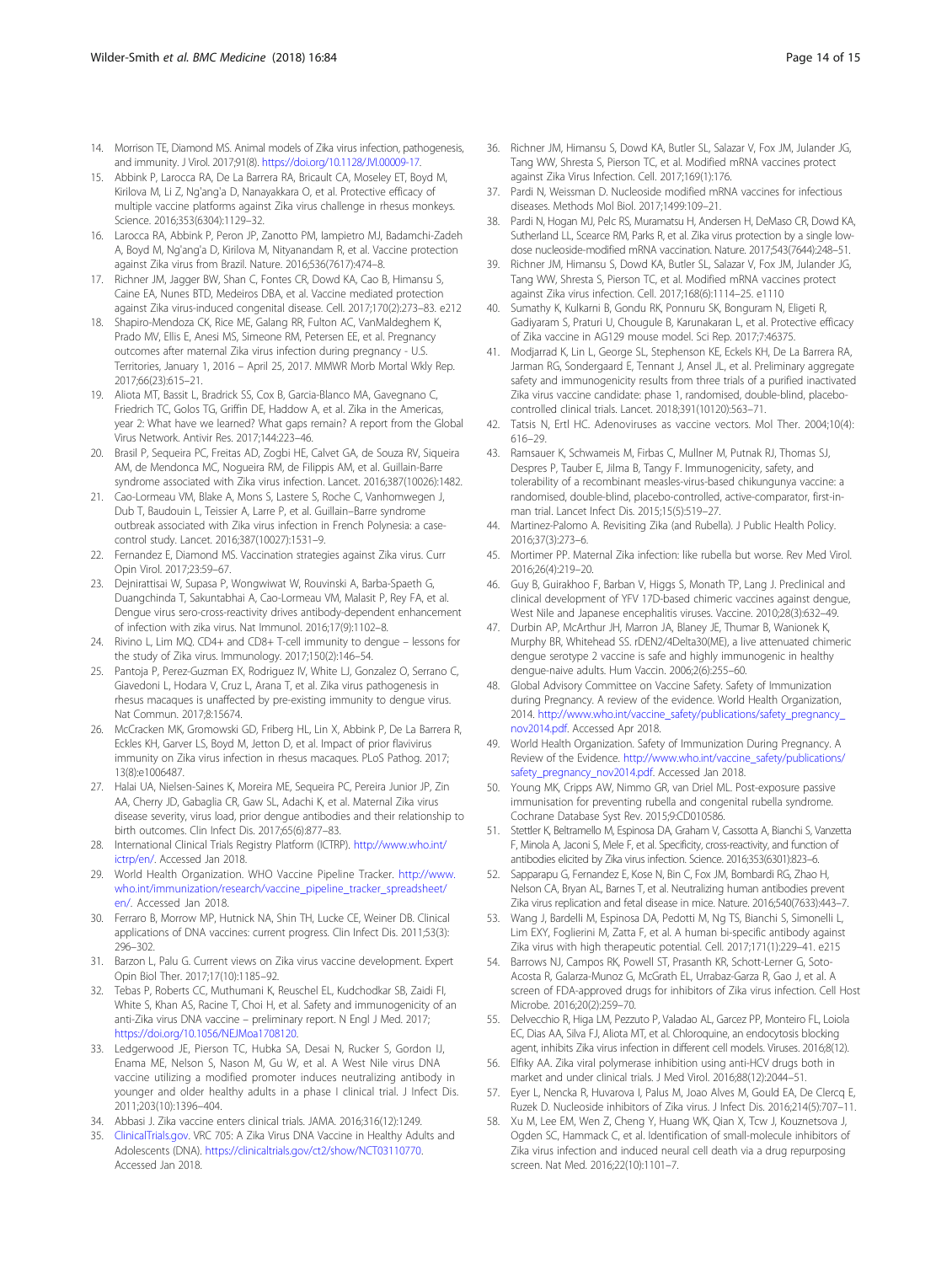- <span id="page-13-0"></span>14. Morrison TE, Diamond MS. Animal models of Zika virus infection, pathogenesis, and immunity. J Virol. 2017;91(8). [https://doi.org/10.1128/JVI.00009-17.](https://doi.org/10.1128/JVI.00009-17)
- 15. Abbink P, Larocca RA, De La Barrera RA, Bricault CA, Moseley ET, Boyd M, Kirilova M, Li Z, Ng'ang'a D, Nanayakkara O, et al. Protective efficacy of multiple vaccine platforms against Zika virus challenge in rhesus monkeys. Science. 2016;353(6304):1129–32.
- 16. Larocca RA, Abbink P, Peron JP, Zanotto PM, Iampietro MJ, Badamchi-Zadeh A, Boyd M, Ng'ang'a D, Kirilova M, Nityanandam R, et al. Vaccine protection against Zika virus from Brazil. Nature. 2016;536(7617):474–8.
- 17. Richner JM, Jagger BW, Shan C, Fontes CR, Dowd KA, Cao B, Himansu S, Caine EA, Nunes BTD, Medeiros DBA, et al. Vaccine mediated protection against Zika virus-induced congenital disease. Cell. 2017;170(2):273–83. e212
- 18. Shapiro-Mendoza CK, Rice ME, Galang RR, Fulton AC, VanMaldeghem K, Prado MV, Ellis E, Anesi MS, Simeone RM, Petersen EE, et al. Pregnancy outcomes after maternal Zika virus infection during pregnancy - U.S. Territories, January 1, 2016 – April 25, 2017. MMWR Morb Mortal Wkly Rep. 2017;66(23):615–21.
- 19. Aliota MT, Bassit L, Bradrick SS, Cox B, Garcia-Blanco MA, Gavegnano C, Friedrich TC, Golos TG, Griffin DE, Haddow A, et al. Zika in the Americas, year 2: What have we learned? What gaps remain? A report from the Global Virus Network. Antivir Res. 2017;144:223–46.
- 20. Brasil P, Sequeira PC, Freitas AD, Zogbi HE, Calvet GA, de Souza RV, Siqueira AM, de Mendonca MC, Nogueira RM, de Filippis AM, et al. Guillain-Barre syndrome associated with Zika virus infection. Lancet. 2016;387(10026):1482.
- 21. Cao-Lormeau VM, Blake A, Mons S, Lastere S, Roche C, Vanhomwegen J, Dub T, Baudouin L, Teissier A, Larre P, et al. Guillain–Barre syndrome outbreak associated with Zika virus infection in French Polynesia: a casecontrol study. Lancet. 2016;387(10027):1531–9.
- 22. Fernandez E, Diamond MS. Vaccination strategies against Zika virus. Curr Opin Virol. 2017;23:59–67.
- 23. Dejnirattisai W, Supasa P, Wongwiwat W, Rouvinski A, Barba-Spaeth G, Duangchinda T, Sakuntabhai A, Cao-Lormeau VM, Malasit P, Rey FA, et al. Dengue virus sero-cross-reactivity drives antibody-dependent enhancement of infection with zika virus. Nat Immunol. 2016;17(9):1102–8.
- 24. Rivino L, Lim MQ. CD4+ and CD8+ T-cell immunity to dengue lessons for the study of Zika virus. Immunology. 2017;150(2):146–54.
- 25. Pantoja P, Perez-Guzman EX, Rodriguez IV, White LJ, Gonzalez O, Serrano C, Giavedoni L, Hodara V, Cruz L, Arana T, et al. Zika virus pathogenesis in rhesus macaques is unaffected by pre-existing immunity to dengue virus. Nat Commun. 2017;8:15674.
- 26. McCracken MK, Gromowski GD, Friberg HL, Lin X, Abbink P, De La Barrera R, Eckles KH, Garver LS, Boyd M, Jetton D, et al. Impact of prior flavivirus immunity on Zika virus infection in rhesus macaques. PLoS Pathog. 2017; 13(8):e1006487.
- 27. Halai UA, Nielsen-Saines K, Moreira ME, Sequeira PC, Pereira Junior JP, Zin AA, Cherry JD, Gabaglia CR, Gaw SL, Adachi K, et al. Maternal Zika virus disease severity, virus load, prior dengue antibodies and their relationship to birth outcomes. Clin Infect Dis. 2017;65(6):877–83.
- 28. International Clinical Trials Registry Platform (ICTRP). [http://www.who.int/](http://www.who.int/ictrp/en) [ictrp/en/](http://www.who.int/ictrp/en). Accessed Jan 2018.
- 29. World Health Organization. WHO Vaccine Pipeline Tracker. [http://www.](http://www.who.int/immunization/research/vaccine_pipeline_tracker_spreadsheet/en) [who.int/immunization/research/vaccine\\_pipeline\\_tracker\\_spreadsheet/](http://www.who.int/immunization/research/vaccine_pipeline_tracker_spreadsheet/en) [en/.](http://www.who.int/immunization/research/vaccine_pipeline_tracker_spreadsheet/en) Accessed Jan 2018.
- 30. Ferraro B, Morrow MP, Hutnick NA, Shin TH, Lucke CE, Weiner DB. Clinical applications of DNA vaccines: current progress. Clin Infect Dis. 2011;53(3): 296–302.
- 31. Barzon L, Palu G. Current views on Zika virus vaccine development. Expert Opin Biol Ther. 2017;17(10):1185–92.
- 32. Tebas P, Roberts CC, Muthumani K, Reuschel EL, Kudchodkar SB, Zaidi FI, White S, Khan AS, Racine T, Choi H, et al. Safety and immunogenicity of an anti-Zika virus DNA vaccine – preliminary report. N Engl J Med. 2017; <https://doi.org/10.1056/NEJMoa1708120>.
- 33. Ledgerwood JE, Pierson TC, Hubka SA, Desai N, Rucker S, Gordon IJ, Enama ME, Nelson S, Nason M, Gu W, et al. A West Nile virus DNA vaccine utilizing a modified promoter induces neutralizing antibody in younger and older healthy adults in a phase I clinical trial. J Infect Dis. 2011;203(10):1396–404.
- 34. Abbasi J. Zika vaccine enters clinical trials. JAMA. 2016;316(12):1249.
- 35. [ClinicalTrials.gov.](http://clinicaltrials.gov) VRC 705: A Zika Virus DNA Vaccine in Healthy Adults and Adolescents (DNA). [https://clinicaltrials.gov/ct2/show/NCT03110770.](https://clinicaltrials.gov/ct2/show/NCT03110770) Accessed Jan 2018.
- 36. Richner JM, Himansu S, Dowd KA, Butler SL, Salazar V, Fox JM, Julander JG, Tang WW, Shresta S, Pierson TC, et al. Modified mRNA vaccines protect against Zika Virus Infection. Cell. 2017;169(1):176.
- 37. Pardi N, Weissman D. Nucleoside modified mRNA vaccines for infectious diseases. Methods Mol Biol. 2017;1499:109–21.
- 38. Pardi N, Hogan MJ, Pelc RS, Muramatsu H, Andersen H, DeMaso CR, Dowd KA, Sutherland LL, Scearce RM, Parks R, et al. Zika virus protection by a single lowdose nucleoside-modified mRNA vaccination. Nature. 2017;543(7644):248–51.
- 39. Richner JM, Himansu S, Dowd KA, Butler SL, Salazar V, Fox JM, Julander JG, Tang WW, Shresta S, Pierson TC, et al. Modified mRNA vaccines protect against Zika virus infection. Cell. 2017;168(6):1114–25. e1110
- 40. Sumathy K, Kulkarni B, Gondu RK, Ponnuru SK, Bonguram N, Eligeti R, Gadiyaram S, Praturi U, Chougule B, Karunakaran L, et al. Protective efficacy of Zika vaccine in AG129 mouse model. Sci Rep. 2017;7:46375.
- 41. Modjarrad K, Lin L, George SL, Stephenson KE, Eckels KH, De La Barrera RA, Jarman RG, Sondergaard E, Tennant J, Ansel JL, et al. Preliminary aggregate safety and immunogenicity results from three trials of a purified inactivated Zika virus vaccine candidate: phase 1, randomised, double-blind, placebocontrolled clinical trials. Lancet. 2018;391(10120):563–71.
- 42. Tatsis N, Ertl HC. Adenoviruses as vaccine vectors. Mol Ther. 2004;10(4): 616–29.
- 43. Ramsauer K, Schwameis M, Firbas C, Mullner M, Putnak RJ, Thomas SJ, Despres P, Tauber E, Jilma B, Tangy F. Immunogenicity, safety, and tolerability of a recombinant measles-virus-based chikungunya vaccine: a randomised, double-blind, placebo-controlled, active-comparator, first-inman trial. Lancet Infect Dis. 2015;15(5):519–27.
- 44. Martinez-Palomo A. Revisiting Zika (and Rubella). J Public Health Policy. 2016;37(3):273–6.
- 45. Mortimer PP. Maternal Zika infection: like rubella but worse. Rev Med Virol. 2016;26(4):219–20.
- 46. Guy B, Guirakhoo F, Barban V, Higgs S, Monath TP, Lang J. Preclinical and clinical development of YFV 17D-based chimeric vaccines against dengue, West Nile and Japanese encephalitis viruses. Vaccine. 2010;28(3):632–49.
- 47. Durbin AP, McArthur JH, Marron JA, Blaney JE, Thumar B, Wanionek K, Murphy BR, Whitehead SS. rDEN2/4Delta30(ME), a live attenuated chimeric dengue serotype 2 vaccine is safe and highly immunogenic in healthy dengue-naive adults. Hum Vaccin. 2006;2(6):255–60.
- 48. Global Advisory Committee on Vaccine Safety. Safety of Immunization during Pregnancy. A review of the evidence. World Health Organization, 2014. [http://www.who.int/vaccine\\_safety/publications/safety\\_pregnancy\\_](http://www.who.int/vaccine_safety/publications/safety_pregnancy_nov2014.pdf) [nov2014.pdf.](http://www.who.int/vaccine_safety/publications/safety_pregnancy_nov2014.pdf) Accessed Apr 2018.
- 49. World Health Organization. Safety of Immunization During Pregnancy. A Review of the Evidence. [http://www.who.int/vaccine\\_safety/publications/](http://www.who.int/vaccine_safety/publications/safety_pregnancy_nov2014.pdf) [safety\\_pregnancy\\_nov2014.pdf.](http://www.who.int/vaccine_safety/publications/safety_pregnancy_nov2014.pdf) Accessed Jan 2018.
- 50. Young MK, Cripps AW, Nimmo GR, van Driel ML. Post-exposure passive immunisation for preventing rubella and congenital rubella syndrome. Cochrane Database Syst Rev. 2015;9:CD010586.
- 51. Stettler K, Beltramello M, Espinosa DA, Graham V, Cassotta A, Bianchi S, Vanzetta F, Minola A, Jaconi S, Mele F, et al. Specificity, cross-reactivity, and function of antibodies elicited by Zika virus infection. Science. 2016;353(6301):823–6.
- 52. Sapparapu G, Fernandez E, Kose N, Bin C, Fox JM, Bombardi RG, Zhao H, Nelson CA, Bryan AL, Barnes T, et al. Neutralizing human antibodies prevent Zika virus replication and fetal disease in mice. Nature. 2016;540(7633):443–7.
- 53. Wang J, Bardelli M, Espinosa DA, Pedotti M, Ng TS, Bianchi S, Simonelli L, Lim EXY, Foglierini M, Zatta F, et al. A human bi-specific antibody against Zika virus with high therapeutic potential. Cell. 2017;171(1):229–41. e215
- 54. Barrows NJ, Campos RK, Powell ST, Prasanth KR, Schott-Lerner G, Soto-Acosta R, Galarza-Munoz G, McGrath EL, Urrabaz-Garza R, Gao J, et al. A screen of FDA-approved drugs for inhibitors of Zika virus infection. Cell Host Microbe. 2016;20(2):259–70.
- 55. Delvecchio R, Higa LM, Pezzuto P, Valadao AL, Garcez PP, Monteiro FL, Loiola EC, Dias AA, Silva FJ, Aliota MT, et al. Chloroquine, an endocytosis blocking agent, inhibits Zika virus infection in different cell models. Viruses. 2016;8(12).
- 56. Elfiky AA. Zika viral polymerase inhibition using anti-HCV drugs both in market and under clinical trials. J Med Virol. 2016;88(12):2044–51.
- 57. Eyer L, Nencka R, Huvarova I, Palus M, Joao Alves M, Gould EA, De Clercq E, Ruzek D. Nucleoside inhibitors of Zika virus. J Infect Dis. 2016;214(5):707–11.
- 58. Xu M, Lee EM, Wen Z, Cheng Y, Huang WK, Qian X, Tcw J, Kouznetsova J, Ogden SC, Hammack C, et al. Identification of small-molecule inhibitors of Zika virus infection and induced neural cell death via a drug repurposing screen. Nat Med. 2016;22(10):1101–7.